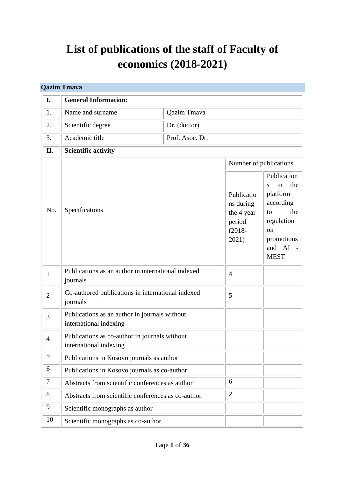# **List of publications of the staff of Faculty of economics (2018-2021)**

|                | <b>Qazim Tmava</b>                                                      |                    |                                                                       |                                                                                                                                           |
|----------------|-------------------------------------------------------------------------|--------------------|-----------------------------------------------------------------------|-------------------------------------------------------------------------------------------------------------------------------------------|
| I.             | <b>General Information:</b>                                             |                    |                                                                       |                                                                                                                                           |
| 1.             | Name and surname                                                        | <b>Qazim Tmava</b> |                                                                       |                                                                                                                                           |
| 2.             | Scientific degree                                                       | Dr. (doctor)       |                                                                       |                                                                                                                                           |
| 3.             | Academic title                                                          | Prof. Asoc. Dr.    |                                                                       |                                                                                                                                           |
| II.            | <b>Scientific activity</b>                                              |                    |                                                                       |                                                                                                                                           |
|                |                                                                         |                    |                                                                       | Number of publications                                                                                                                    |
| No.            | Specifications                                                          |                    | Publicatio<br>ns during<br>the 4 year<br>period<br>$(2018 -$<br>2021) | Publication<br>the<br>in<br>S<br>platform<br>according<br>the<br>to<br>regulation<br><sub>on</sub><br>promotions<br>and AI<br><b>MEST</b> |
| $\mathbf{1}$   | Publications as an author in international indexed<br>journals          |                    | $\overline{4}$                                                        |                                                                                                                                           |
| $\overline{2}$ | Co-authored publications in international indexed<br>journals           |                    | 5                                                                     |                                                                                                                                           |
| 3              | Publications as an author in journals without<br>international indexing |                    |                                                                       |                                                                                                                                           |
| $\overline{4}$ | Publications as co-author in journals without<br>international indexing |                    |                                                                       |                                                                                                                                           |
| 5              | Publications in Kosovo journals as author                               |                    |                                                                       |                                                                                                                                           |
| 6              | Publications in Kosovo journals as co-author                            |                    |                                                                       |                                                                                                                                           |
| 7              | Abstracts from scientific conferences as author                         |                    | 6                                                                     |                                                                                                                                           |
| 8              | Abstracts from scientific conferences as co-author                      |                    | $\mathbf{2}$                                                          |                                                                                                                                           |
| 9              | Scientific monographs as author                                         |                    |                                                                       |                                                                                                                                           |
| 10             | Scientific monographs as co-author                                      |                    |                                                                       |                                                                                                                                           |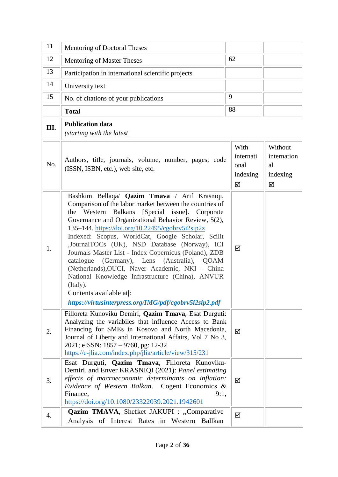| 11   | Mentoring of Doctoral Theses                                                                                                                                                                                                                                                                                                                                                                                                                                                                                                                                                                                                                                                                                    |                                            |                                               |
|------|-----------------------------------------------------------------------------------------------------------------------------------------------------------------------------------------------------------------------------------------------------------------------------------------------------------------------------------------------------------------------------------------------------------------------------------------------------------------------------------------------------------------------------------------------------------------------------------------------------------------------------------------------------------------------------------------------------------------|--------------------------------------------|-----------------------------------------------|
| 12   | <b>Mentoring of Master Theses</b>                                                                                                                                                                                                                                                                                                                                                                                                                                                                                                                                                                                                                                                                               | 62                                         |                                               |
| 13   | Participation in international scientific projects                                                                                                                                                                                                                                                                                                                                                                                                                                                                                                                                                                                                                                                              |                                            |                                               |
| 14   | University text                                                                                                                                                                                                                                                                                                                                                                                                                                                                                                                                                                                                                                                                                                 |                                            |                                               |
| 15   | No. of citations of your publications                                                                                                                                                                                                                                                                                                                                                                                                                                                                                                                                                                                                                                                                           | 9                                          |                                               |
|      | <b>Total</b>                                                                                                                                                                                                                                                                                                                                                                                                                                                                                                                                                                                                                                                                                                    | 88                                         |                                               |
| III. | <b>Publication data</b><br>(starting with the latest                                                                                                                                                                                                                                                                                                                                                                                                                                                                                                                                                                                                                                                            |                                            |                                               |
| No.  | Authors, title, journals, volume, number, pages, code<br>(ISSN, ISBN, etc.), web site, etc.                                                                                                                                                                                                                                                                                                                                                                                                                                                                                                                                                                                                                     | With<br>internati<br>onal<br>indexing<br>☑ | Without<br>internation<br>al<br>indexing<br>☑ |
| 1.   | Bashkim Bellaqa/ Qazim Tmava / Arif Krasniqi,<br>Comparison of the labor market between the countries of<br>Western<br><b>Balkans</b><br>[Special issue]. Corporate<br>the<br>Governance and Organizational Behavior Review, 5(2),<br>135-144. https://doi.org/10.22495/cgobrv5i2sip2z<br>Indexed: Scopus, WorldCat, Google Scholar, Scilit<br>,JournalTOCs (UK), NSD Database (Norway), ICI<br>Journals Master List - Index Copernicus (Poland), ZDB<br>(Germany), Lens (Australia), QOAM<br>catalogue<br>(Netherlands), OUCI, Naver Academic, NKI - China<br>National Knowledge Infrastructure (China), ANVUR<br>(Italy).<br>Contents available at:<br>https://virtusinterpress.org/IMG/pdf/cgobrv5i2sip2.pdf | ☑                                          |                                               |
| 2.   | Filloreta Kunoviku Demiri, Qazim Tmava, Esat Durguti:<br>Analyzing the variabiles that influence Access to Bank<br>Financing for SMEs in Kosovo and North Macedonia,<br>Journal of Liberty and International Affairs, Vol 7 No 3,<br>2021; eISSN: 1857 - 9760, pg: 12-32<br>https://e-jlia.com/index.php/jlia/article/view/315/231                                                                                                                                                                                                                                                                                                                                                                              | ☑                                          |                                               |
| 3.   | Esat Durguti, Qazim Tmava, Filloreta Kunoviku-<br>Demiri, and Enver KRASNIQI (2021): Panel estimating<br>effects of macroeconomic determinants on inflation:<br>Evidence of Western Balkan. Cogent Economics &<br>Finance,<br>9:1,<br>https://doi.org/10.1080/23322039.2021.1942601                                                                                                                                                                                                                                                                                                                                                                                                                             | ☑                                          |                                               |
| 4.   | Qazim TMAVA, Shefket JAKUPI : "Comparative<br>Analysis of Interest Rates in Western Ballkan                                                                                                                                                                                                                                                                                                                                                                                                                                                                                                                                                                                                                     | ☑                                          |                                               |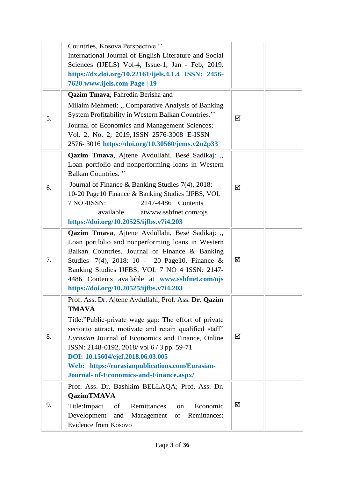|    | Countries, Kosova Perspective."<br>International Journal of English Literature and Social<br>Sciences (IJELS) Vol-4, Issue-1, Jan - Feb, 2019.<br>https://dx.doi.org/10.22161/ijels.4.1.4 ISSN: 2456-<br>7620 www.ijels.com Page   19                                                                                                                                                                                        |   |
|----|------------------------------------------------------------------------------------------------------------------------------------------------------------------------------------------------------------------------------------------------------------------------------------------------------------------------------------------------------------------------------------------------------------------------------|---|
| 5. | Qazim Tmava, Fahredin Berisha and<br>Milaim Mehmeti: "Comparative Analysis of Banking<br>System Profitability in Western Balkan Countries."<br>Journal of Economics and Management Sciences;<br>Vol. 2, No. 2; 2019, ISSN 2576-3008 E-ISSN<br>2576-3016 https://doi.org/10.30560/jems.v2n2p33                                                                                                                                | ☑ |
| 6. | Qazim Tmava, Ajtene Avdullahi, Besë Sadikaj: "<br>Loan portfolio and nonperforming loans in Western<br><b>Balkan Countries.</b> "<br>Journal of Finance & Banking Studies 7(4), 2018:<br>10-20 Page10 Finance & Banking Studies IJFBS, VOL<br>7 NO 4ISSN:<br>2147-4486 Contents<br>available<br>atwww.ssbfnet.com/ojs<br>https://doi.org/10.20525/ijfbs.v7i4.203                                                             | ☑ |
| 7. | Qazim Tmava, Ajtene Avdullahi, Besë Sadikaj: "<br>Loan portfolio and nonperforming loans in Western<br>Balkan Countries. Journal of Finance & Banking<br>Studies 7(4), 2018: 10 - 20 Page10. Finance &<br>Banking Studies IJFBS, VOL 7 NO 4 ISSN: 2147-<br>4486 Contents available at www.ssbfnet.com/ojs<br>https://doi.org/10.20525/ijfbs.v7i4.203                                                                         | ☑ |
| 8. | Prof. Ass. Dr. Ajtene Avdullahi; Prof. Ass. Dr. Qazim<br><b>TMAVA</b><br>Title:"Public-private wage gap: The effort of private<br>sector to attract, motivate and retain qualified staff"<br>Eurasian Journal of Economics and Finance, Online<br>ISSN: 2148-0192, 2018/vol 6/3 pp. 59-71<br>DOI: 10.15604/ejef.2018.06.03.005<br>Web: https://eurasianpublications.com/Eurasian-<br>Journal- of-Economics-and-Finance.aspx/ | ☑ |
| 9. | Prof. Ass. Dr. Bashkim BELLAQA; Prof. Ass. Dr.<br><b>QazimTMAVA</b><br>Economic<br>Title:Impact<br>Remittances<br>of<br>on<br>Development<br>Remittances:<br>and<br>Management<br>of<br>Evidence from Kosovo                                                                                                                                                                                                                 | ☑ |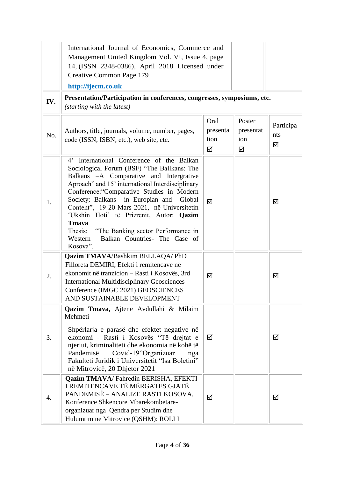|     | International Journal of Economics, Commerce and<br>Management United Kingdom Vol. VI, Issue 4, page<br>14, (ISSN 2348-0386), April 2018 Licensed under<br>Creative Common Page 179<br>http://ijecm.co.uk                                                                                                                                                                                                                                                                                                       |                               |                                 |                       |
|-----|-----------------------------------------------------------------------------------------------------------------------------------------------------------------------------------------------------------------------------------------------------------------------------------------------------------------------------------------------------------------------------------------------------------------------------------------------------------------------------------------------------------------|-------------------------------|---------------------------------|-----------------------|
| IV. | Presentation/Participation in conferences, congresses, symposiums, etc.<br>(starting with the latest)                                                                                                                                                                                                                                                                                                                                                                                                           |                               |                                 |                       |
| No. | Authors, title, journals, volume, number, pages,<br>code (ISSN, ISBN, etc.), web site, etc.                                                                                                                                                                                                                                                                                                                                                                                                                     | Oral<br>presenta<br>tion<br>☑ | Poster<br>presentat<br>ion<br>☑ | Participa<br>nts<br>☑ |
| 1.  | International Conference of the Balkan<br>$4^{\circ}$<br>Sociological Forum (BSF) "The Ballkans: The<br>Balkans - A Comparative and Intergrative<br>Aproach" and 15' international Interdisciplinary<br>Conference: "Comparative Studies in Modern<br>Society; Balkans in Europian and Global<br>Content", 19-20 Mars 2021, në Universitetin<br>'Ukshin Hoti' të Prizrenit, Autor: Qazim<br><b>T</b> mava<br>Thesis: "The Banking sector Performance in<br>Balkan Countries- The Case of<br>Western<br>Kosova". | ☑                             |                                 | ☑                     |
| 2.  | <b>Qazim TMAVA/Bashkim BELLAQA/ PhD</b><br>Filloreta DEMIRI, Efekti i remitencave në<br>ekonomit në tranzicion – Rasti i Kosovës, 3rd<br><b>International Multidisciplinary Geosciences</b><br>Conference (IMGC 2021) GEOSCIENCES<br>AND SUSTAINABLE DEVELOPMENT                                                                                                                                                                                                                                                | ☑                             |                                 | ☑                     |
| 3.  | Qazim Tmava, Ajtene Avdullahi & Milaim<br>Mehmeti<br>Shpërlarja e parasë dhe efektet negative në<br>ekonomi - Rasti i Kosovës "Të drejtat e<br>njeriut, kriminaliteti dhe ekonomia në kohë të<br>Pandemisë<br>Covid-19"Organizuar<br>nga<br>Fakulteti Juridik i Universitetit "Isa Boletini"<br>në Mitrovicë, 20 Dhjetor 2021                                                                                                                                                                                   | ☑                             |                                 | ☑                     |
| 4.  | Qazim TMAVA/ Fahredin BERISHA, EFEKTI<br>I REMITENCAVE TË MËRGATES GJATË<br>PANDEMISË – ANALIZË RASTI KOSOVA,<br>Konference Shkencore Mbarekombetare-<br>organizuar nga Qendra per Studim dhe<br>Hulumtim ne Mitrovice (QSHM): ROLI I                                                                                                                                                                                                                                                                           | ☑                             |                                 | ☑                     |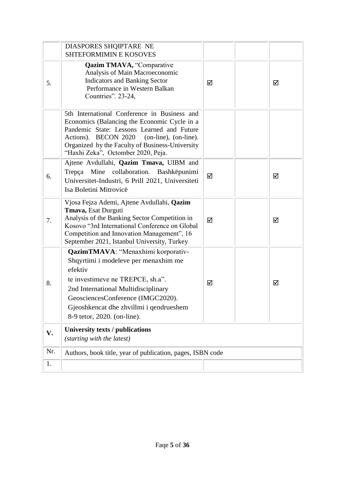|     | DIASPORES SHQIPTARE NE<br><b>SHTEFORMIMIN E KOSOVES</b>                                                                                                                                                                                                                           |   |  |   |  |
|-----|-----------------------------------------------------------------------------------------------------------------------------------------------------------------------------------------------------------------------------------------------------------------------------------|---|--|---|--|
| 5.  | <b>Qazim TMAVA, "Comparative</b><br>Analysis of Main Macroeconomic<br><b>Indicators and Banking Sector</b><br>Performance in Western Balkan<br>Countries". 23-24,                                                                                                                 | ☑ |  | ☑ |  |
|     | 5th International Conference in Business and<br>Economics (Balancing the Economic Cycle in a<br>Pandemic State: Lessons Learned and Future<br>Actions). BECON 2020 (on-line), (on-line).<br>Organized by the Faculty of Business-University<br>"Haxhi Zeka", Octomber 2020, Peja. |   |  |   |  |
| 6.  | Ajtene Avdullahi, Qazim Tmava, UIBM and<br>Trepça Mine collaboration. Bashkëpunimi<br>Universitet-Industri, 6 Prill 2021, Universiteti<br>Isa Boletini Mitrovicë                                                                                                                  | ☑ |  | ☑ |  |
| 7.  | Vjosa Fejza Ademi, Ajtene Avdullahi, Qazim<br>Tmava, Esat Durguti<br>Analysis of the Banking Sector Competition in<br>Kosovo "3rd International Conference on Global<br>Competition and Innovation Management", 16<br>September 2021, Istanbul University, Turkey                 | ☑ |  | ☑ |  |
| 8.  | QazimTMAVA: "Menaxhimi korporativ-<br>Shqyrtimi i modeleve per menaxhim me<br>efektiv<br>te investimeve ne TREPCE, sh.a".<br>2nd International Multidisciplinary<br>GeosciencesConference (IMGC2020).<br>Gjeoshkencat dhe zhvillmi i qendrueshem<br>8-9 tetor, 2020. (on-line).   | ☑ |  | ☑ |  |
| V.  | <b>University texts / publications</b><br>(starting with the latest)                                                                                                                                                                                                              |   |  |   |  |
| Nr. | Authors, book title, year of publication, pages, ISBN code                                                                                                                                                                                                                        |   |  |   |  |
| 1.  |                                                                                                                                                                                                                                                                                   |   |  |   |  |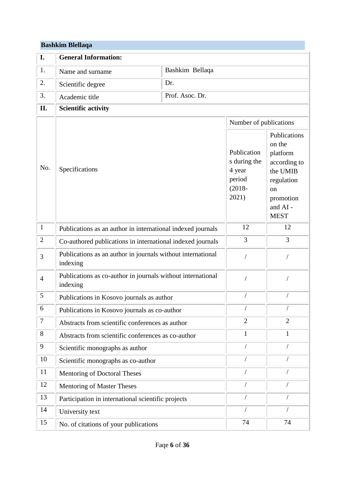#### **Bashkim Blellaqa**

| I.             | <b>General Information:</b>                                             |                 |                                                                                                 |                                                                                                                                       |  |
|----------------|-------------------------------------------------------------------------|-----------------|-------------------------------------------------------------------------------------------------|---------------------------------------------------------------------------------------------------------------------------------------|--|
| 1.             | Name and surname                                                        | Bashkim Bellaqa |                                                                                                 |                                                                                                                                       |  |
| 2.             | Scientific degree                                                       | Dr.             |                                                                                                 |                                                                                                                                       |  |
| 3.             | Academic title                                                          | Prof. Asoc. Dr. |                                                                                                 |                                                                                                                                       |  |
| II.            | <b>Scientific activity</b>                                              |                 |                                                                                                 |                                                                                                                                       |  |
|                |                                                                         |                 |                                                                                                 |                                                                                                                                       |  |
| No.            | Specifications                                                          |                 | Number of publications<br>Publication<br>s during the<br>4 year<br>period<br>$(2018 -$<br>2021) | Publications<br>on the<br>platform<br>according to<br>the UMIB<br>regulation<br><sub>on</sub><br>promotion<br>and AI -<br><b>MEST</b> |  |
| $\mathbf{1}$   | Publications as an author in international indexed journals             |                 | 12                                                                                              | 12                                                                                                                                    |  |
| $\overline{2}$ | Co-authored publications in international indexed journals              |                 | 3                                                                                               | $\overline{3}$                                                                                                                        |  |
| 3              | Publications as an author in journals without international<br>indexing |                 | $\sqrt{2}$                                                                                      |                                                                                                                                       |  |
| $\overline{4}$ | Publications as co-author in journals without international<br>indexing |                 |                                                                                                 |                                                                                                                                       |  |
| 5              | Publications in Kosovo journals as author                               |                 |                                                                                                 |                                                                                                                                       |  |
| 6              | Publications in Kosovo journals as co-author                            |                 |                                                                                                 |                                                                                                                                       |  |
| $\overline{7}$ | Abstracts from scientific conferences as author                         |                 | $\overline{2}$                                                                                  | $\overline{2}$                                                                                                                        |  |
| $8\,$          | Abstracts from scientific conferences as co-author                      |                 | 1                                                                                               | 1                                                                                                                                     |  |
| 9              | Scientific monographs as author                                         |                 |                                                                                                 |                                                                                                                                       |  |
| 10             | Scientific monographs as co-author                                      |                 |                                                                                                 |                                                                                                                                       |  |
| 11             | Mentoring of Doctoral Theses                                            |                 | $\sqrt{2}$                                                                                      | $\sqrt{2}$                                                                                                                            |  |
| 12             | Mentoring of Master Theses                                              |                 |                                                                                                 |                                                                                                                                       |  |
| 13             | Participation in international scientific projects                      |                 |                                                                                                 |                                                                                                                                       |  |
| 14             | University text                                                         |                 | $\sqrt{2}$                                                                                      |                                                                                                                                       |  |
| 15             | No. of citations of your publications                                   |                 | 74                                                                                              | 74                                                                                                                                    |  |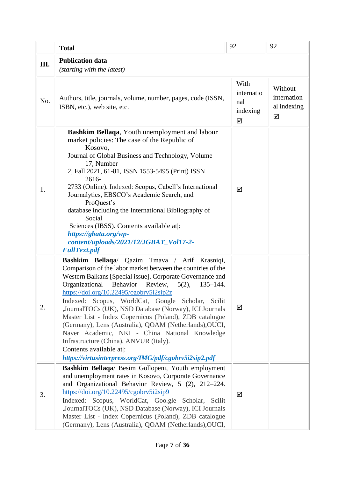|      | <b>Total</b>                                                                                                                                                                                                                                                                                                                                                                                                                                                                                                                                                                                                                                                                                                 | 92                                         | 92                                         |
|------|--------------------------------------------------------------------------------------------------------------------------------------------------------------------------------------------------------------------------------------------------------------------------------------------------------------------------------------------------------------------------------------------------------------------------------------------------------------------------------------------------------------------------------------------------------------------------------------------------------------------------------------------------------------------------------------------------------------|--------------------------------------------|--------------------------------------------|
| III. | <b>Publication data</b><br>(starting with the latest)                                                                                                                                                                                                                                                                                                                                                                                                                                                                                                                                                                                                                                                        |                                            |                                            |
| No.  | Authors, title, journals, volume, number, pages, code (ISSN,<br>ISBN, etc.), web site, etc.                                                                                                                                                                                                                                                                                                                                                                                                                                                                                                                                                                                                                  | With<br>internatio<br>nal<br>indexing<br>☑ | Without<br>internation<br>al indexing<br>☑ |
| 1.   | Bashkim Bellaqa, Youth unemployment and labour<br>market policies: The case of the Republic of<br>Kosovo,<br>Journal of Global Business and Technology, Volume<br>17, Number<br>2, Fall 2021, 61-81, ISSN 1553-5495 (Print) ISSN<br>2616-<br>2733 (Online). Indexed: Scopus, Cabell's International<br>Journalytics, EBSCO's Academic Search, and<br>ProQuest's<br>database including the International Bibliography of<br>Social<br>Sciences (IBSS). Contents available at :<br>https://gbata.org/wp-<br>content/uploads/2021/12/JGBAT_Vol17-2-<br><b>FullText.pdf</b>                                                                                                                                      | ☑                                          |                                            |
| 2.   | Bashkim Bellaqa/ Qazim Tmava / Arif Krasniqi,<br>Comparison of the labor market between the countries of the<br>Western Balkans [Special issue]. Corporate Governance and<br>Organizational<br>Behavior<br>Review,<br>$5(2)$ ,<br>$135 - 144.$<br>https://doi.org/10.22495/cgobrv5i2sip2z<br>Indexed: Scopus, WorldCat, Google Scholar, Scilit<br>,JournalTOCs (UK), NSD Database (Norway), ICI Journals<br>Master List - Index Copernicus (Poland), ZDB catalogue<br>(Germany), Lens (Australia), QOAM (Netherlands), OUCI,<br>Naver Academic, NKI - China National Knowledge<br>Infrastructure (China), ANVUR (Italy).<br>Contents available at:<br>https://virtusinterpress.org/IMG/pdf/cgobrv5i2sip2.pdf | ☑                                          |                                            |
| 3.   | Bashkim Bellaqa/ Besim Gollopeni, Youth employment<br>and unemployment rates in Kosovo, Corporate Governance<br>and Organizational Behavior Review, 5 (2), 212-224.<br>$\frac{https://doi.org/10.22495/cgobrv5i2sip9}{https://doi.org/10.22495/cgobrv5i2sip9}$<br>Indexed: Scopus, WorldCat, Goo.gle Scholar, Scilit<br>,JournalTOCs (UK), NSD Database (Norway), ICI Journals<br>Master List - Index Copernicus (Poland), ZDB catalogue<br>(Germany), Lens (Australia), QOAM (Netherlands), OUCI,                                                                                                                                                                                                           | ☑                                          |                                            |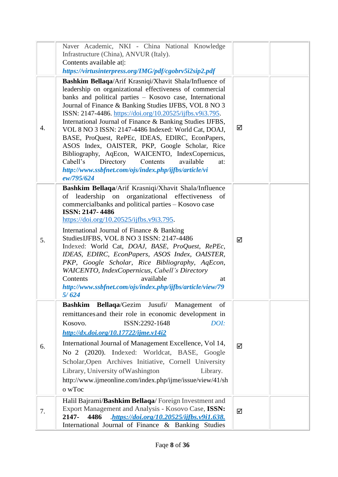|    | Naver Academic, NKI - China National Knowledge<br>Infrastructure (China), ANVUR (Italy).<br>Contents available at:<br>https://virtusinterpress.org/IMG/pdf/cgobrv5i2sip2.pdf                                                                                                                                                                                                                                                                                                                                                                                                                                                                                                                                          |   |  |
|----|-----------------------------------------------------------------------------------------------------------------------------------------------------------------------------------------------------------------------------------------------------------------------------------------------------------------------------------------------------------------------------------------------------------------------------------------------------------------------------------------------------------------------------------------------------------------------------------------------------------------------------------------------------------------------------------------------------------------------|---|--|
| 4. | Bashkim Bellaqa/Arif Krasniqi/Xhavit Shala/Influence of<br>leadership on organizational effectiveness of commercial<br>banks and political parties - Kosovo case, International<br>Journal of Finance & Banking Studies IJFBS, VOL 8 NO 3<br>ISSN: 2147-4486. https://doi.org/10.20525/ijfbs.v9i3.795.<br>International Journal of Finance & Banking Studies IJFBS,<br>VOL 8 NO 3 ISSN: 2147-4486 Indexed: World Cat, DOAJ,<br>BASE, ProQuest, RePEc, IDEAS, EDIRC, EconPapers,<br>ASOS Index, OAISTER, PKP, Google Scholar, Rice<br>Bibliography, AqEcon, WAICENTO, IndexCopernicus,<br>Cabell's<br>Directory<br>Contents<br>available<br>at:<br>http://www.ssbfnet.com/ojs/index.php/ijfbs/article/vi<br>ew/795/624 | ☑ |  |
| 5. | Bashkim Bellaqa/Arif Krasniqi/Xhavit Shala/Influence<br>leadership on organizational effectiveness<br>of<br>-of<br>commercialbanks and political parties – Kosovo case<br>ISSN: 2147-4486<br>https://doi.org/10.20525/ijfbs.v9i3.795.<br>International Journal of Finance & Banking<br>StudiesIJFBS, VOL 8 NO 3 ISSN: 2147-4486<br>Indexed: World Cat, DOAJ, BASE, ProQuest, RePEc,<br>IDEAS, EDIRC, EconPapers, ASOS Index, OAISTER,<br>PKP, Google Scholar, Rice Bibliography, AqEcon,<br>WAICENTO, IndexCopernicus, Cabell's Directory<br>available<br>Contents<br>at<br>http://www.ssbfnet.com/ojs/index.php/ijfbs/article/view/79<br>5/624                                                                       | ☑ |  |
| 6. | Bashkim Bellaqa/Gezim Jusufi/ Management of<br>remittances and their role in economic development in<br>ISSN:2292-1648<br>DOI:<br>Kosovo.<br>http://dx.doi.org/10.17722/ijme.v14i2<br>International Journal of Management Excellence, Vol 14,<br>No 2 (2020). Indexed: Worldcat, BASE, Google<br>Scholar, Open Archives Initiative, Cornell University<br>Library, University of Washington<br>Library.<br>http://www.ijmeonline.com/index.php/ijme/issue/view/41/sh<br>o wToc                                                                                                                                                                                                                                        | ☑ |  |
| 7. | Halil Bajrami/Bashkim Bellaqa/Foreign Investment and<br>Export Management and Analysis - Kosovo Case, ISSN:<br>.https://doi.org/10.20525/ijfbs.v9i1.638.<br>2147-<br>4486<br>International Journal of Finance & Banking Studies                                                                                                                                                                                                                                                                                                                                                                                                                                                                                       | ☑ |  |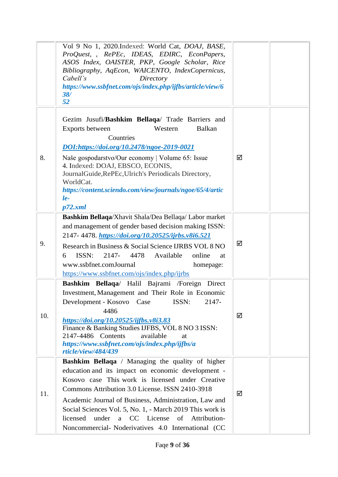|     | Vol 9 No 1, 2020.Indexed: World Cat, DOAJ, BASE,<br>ProQuest, , RePEc, IDEAS, EDIRC, EconPapers,<br>ASOS Index, OAISTER, PKP, Google Scholar, Rice<br>Bibliography, AqEcon, WAICENTO, IndexCopernicus,<br>Cabell's<br>Directory<br>https://www.ssbfnet.com/ojs/index.php/ijfbs/article/view/6<br>38/<br>52                                                                                                                                                 |   |
|-----|------------------------------------------------------------------------------------------------------------------------------------------------------------------------------------------------------------------------------------------------------------------------------------------------------------------------------------------------------------------------------------------------------------------------------------------------------------|---|
| 8.  | Gezim Jusufi/Bashkim Bellaqa/ Trade Barriers and<br><b>Balkan</b><br>Western<br>Exports between<br>Countries<br>DOI:https://doi.org/10.2478/ngoe-2019-0021<br>Naše gospodarstvo/Our economy   Volume 65: Issue<br>4. Indexed: DOAJ, EBSCO, ECONIS,<br>JournalGuide, RePEc, Ulrich's Periodicals Directory,<br>WorldCat.<br>https://content.sciendo.com/view/journals/ngoe/65/4/artic<br>$le-$<br>p72.xml                                                   | ☑ |
| 9.  | Bashkim Bellaqa/Xhavit Shala/Dea Bellaqa/Labor market<br>and management of gender based decision making ISSN:<br>2147-4478. https://doi.org/10.20525/ijrbs.v8i6.521<br>Research in Business & Social Science IJRBS VOL 8 NO<br>ISSN:<br>Available<br>2147-<br>4478<br>online<br>6<br>at<br>www.ssbfnet.comJournal<br>homepage:<br>https://www.ssbfnet.com/ojs/index.php/ijrbs                                                                              | ☑ |
| 10. | Bashkim Bellaqa/ Halil Bajrami /Foreign Direct<br>Investment, Management and Their Role in Economic<br>Development - Kosovo Case<br>ISSN:<br>2147-<br>4486<br>https://doi.org/10.20525/ijfbs.v8i3.83<br>Finance & Banking Studies IJFBS, VOL 8 NO 3 ISSN:<br>2147-4486 Contents<br>available<br>at<br>https://www.ssbfnet.com/ojs/index.php/ijfbs/a<br>rticle/view/484/439                                                                                 | ☑ |
| 11. | <b>Bashkim Bellaqa</b> / Managing the quality of higher<br>education and its impact on economic development -<br>Kosovo case This work is licensed under Creative<br>Commons Attribution 3.0 License. ISSN 2410-3918<br>Academic Journal of Business, Administration, Law and<br>Social Sciences Vol. 5, No. 1, - March 2019 This work is<br>licensed<br>under<br>a CC License<br>Attribution-<br>of<br>Noncommercial- Noderivatives 4.0 International (CC | ☑ |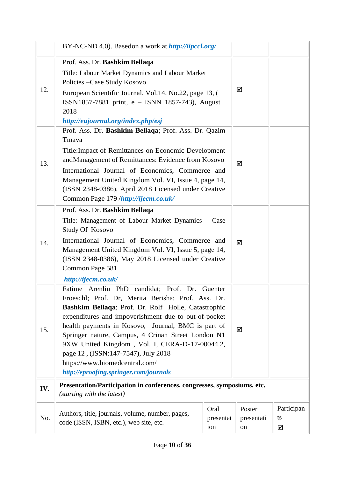|     | BY-NC-ND 4.0). Basedon a work at http://iipccl.org/                                                                                                                                                                                                                                                                                                                                                                                                                                                     |                          |                            |                       |
|-----|---------------------------------------------------------------------------------------------------------------------------------------------------------------------------------------------------------------------------------------------------------------------------------------------------------------------------------------------------------------------------------------------------------------------------------------------------------------------------------------------------------|--------------------------|----------------------------|-----------------------|
| 12. | Prof. Ass. Dr. Bashkim Bellaqa<br>Title: Labour Market Dynamics and Labour Market<br>Policies - Case Study Kosovo<br>European Scientific Journal, Vol.14, No.22, page 13, (<br>ISSN1857-7881 print, e - ISNN 1857-743), August<br>2018<br>http://eujournal.org/index.php/esj                                                                                                                                                                                                                            |                          | ☑                          |                       |
| 13. | Prof. Ass. Dr. Bashkim Bellaqa; Prof. Ass. Dr. Qazim<br>Tmava<br>Title: Impact of Remittances on Economic Development<br>andManagement of Remittances: Evidence from Kosovo<br>International Journal of Economics, Commerce and<br>Management United Kingdom Vol. VI, Issue 4, page 14,<br>(ISSN 2348-0386), April 2018 Licensed under Creative<br>Common Page 179 /http://ijecm.co.uk/                                                                                                                 |                          | ☑                          |                       |
| 14. | Prof. Ass. Dr. Bashkim Bellaqa<br>Title: Management of Labour Market Dynamics – Case<br>Study Of Kosovo<br>International Journal of Economics, Commerce and<br>Management United Kingdom Vol. VI, Issue 5, page 14,<br>(ISSN 2348-0386), May 2018 Licensed under Creative<br>Common Page 581<br>http://ijecm.co.uk/                                                                                                                                                                                     |                          | ☑                          |                       |
| 15. | Fatime Arenliu PhD candidat; Prof. Dr.<br>Guenter<br>Froeschl; Prof. Dr, Merita Berisha; Prof. Ass. Dr.<br>Bashkim Bellaqa; Prof. Dr. Rolf Holle, Catastrophic<br>expenditures and impoverishment due to out-of-pocket<br>health payments in Kosovo, Journal, BMC is part of<br>Springer nature, Campus, 4 Crinan Street London N1<br>9XW United Kingdom, Vol. I, CERA-D-17-00044.2,<br>page 12, (ISSN:147-7547), July 2018<br>https://www.biomedcentral.com/<br>http://eproofing.springer.com/journals |                          | ☑                          |                       |
| IV. | Presentation/Participation in conferences, congresses, symposiums, etc.<br>(starting with the latest)                                                                                                                                                                                                                                                                                                                                                                                                   |                          |                            |                       |
| No. | Authors, title, journals, volume, number, pages,<br>code (ISSN, ISBN, etc.), web site, etc.                                                                                                                                                                                                                                                                                                                                                                                                             | Oral<br>presentat<br>ion | Poster<br>presentati<br>on | Participan<br>ts<br>☑ |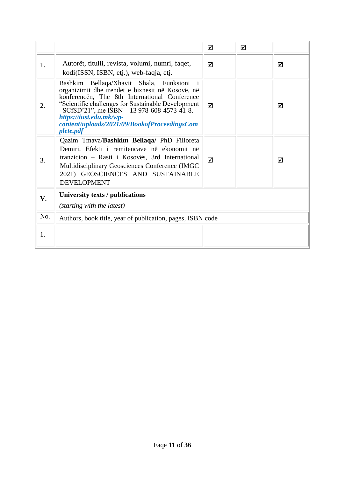|     |                                                                                                                                                                                                                                                                                                                                                 | ☑ | ☑ |   |
|-----|-------------------------------------------------------------------------------------------------------------------------------------------------------------------------------------------------------------------------------------------------------------------------------------------------------------------------------------------------|---|---|---|
| 1.  | Autorët, titulli, revista, volumi, numri, faqet,<br>kodi(ISSN, ISBN, etj.), web-faqja, etj.                                                                                                                                                                                                                                                     | ☑ |   | ☑ |
| 2.  | Bashkim Bellaqa/Xhavit Shala, Funksioni i<br>organizimit dhe trendet e biznesit në Kosovë, në<br>konferencën, The 8th International Conference<br>"Scientific challenges for Sustainable Development<br>$-SCfSD'21$ ", me ISBN $-13978-608-4573-41-8$ .<br>https://iust.edu.mk/wp-<br>content/uploads/2021/09/BookofProceedingsCom<br>plete.pdf | ☑ |   | ☑ |
| 3.  | Qazim Tmava/Bashkim Bellaqa/ PhD Filloreta<br>Demiri, Efekti i remitencave në ekonomit në<br>tranzicion – Rasti i Kosovës, 3rd International<br>Multidisciplinary Geosciences Conference (IMGC)<br>2021) GEOSCIENCES AND SUSTAINABLE<br><b>DEVELOPMENT</b>                                                                                      | ☑ |   | ☑ |
| V.  | University texts / publications<br>(starting with the latest)                                                                                                                                                                                                                                                                                   |   |   |   |
| No. | Authors, book title, year of publication, pages, ISBN code                                                                                                                                                                                                                                                                                      |   |   |   |
| 1.  |                                                                                                                                                                                                                                                                                                                                                 |   |   |   |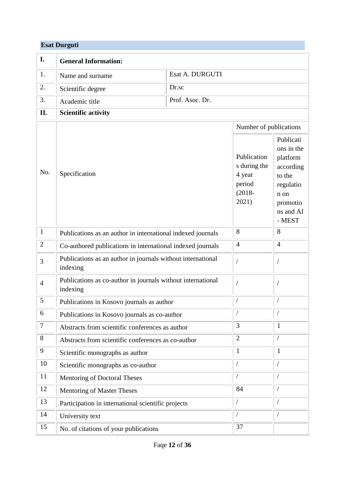## **Esat Durguti**

| I.             | <b>General Information:</b>                                             |                 |                                                                       |                                                                                                                    |
|----------------|-------------------------------------------------------------------------|-----------------|-----------------------------------------------------------------------|--------------------------------------------------------------------------------------------------------------------|
| 1.             | Name and surname                                                        | Esat A. DURGUTI |                                                                       |                                                                                                                    |
| 2.             | Scientific degree                                                       | Dr.sc           |                                                                       |                                                                                                                    |
| 3.             | Academic title                                                          | Prof. Asoc. Dr. |                                                                       |                                                                                                                    |
| II.            | <b>Scientific activity</b>                                              |                 |                                                                       |                                                                                                                    |
|                |                                                                         |                 | Number of publications                                                |                                                                                                                    |
| No.            | Specification                                                           |                 | Publication<br>s during the<br>4 year<br>period<br>$(2018 -$<br>2021) | Publicati<br>ons in the<br>platform<br>according<br>to the<br>regulatio<br>n on<br>promotio<br>ns and AI<br>- MEST |
| $\mathbf{1}$   | Publications as an author in international indexed journals             |                 | 8                                                                     | 8                                                                                                                  |
| $\overline{2}$ | Co-authored publications in international indexed journals              |                 | $\overline{4}$                                                        | $\overline{4}$                                                                                                     |
| 3              | Publications as an author in journals without international<br>indexing |                 |                                                                       |                                                                                                                    |
| $\overline{4}$ | Publications as co-author in journals without international<br>indexing |                 |                                                                       |                                                                                                                    |
| 5              | Publications in Kosovo journals as author                               |                 |                                                                       |                                                                                                                    |
| 6              | Publications in Kosovo journals as co-author                            |                 |                                                                       |                                                                                                                    |
| $\overline{7}$ | Abstracts from scientific conferences as author                         |                 | 3                                                                     | $\mathbf{1}$                                                                                                       |
| 8              | Abstracts from scientific conferences as co-author                      |                 | $\overline{2}$                                                        |                                                                                                                    |
| 9              | Scientific monographs as author                                         |                 | $\mathbf{1}$                                                          | $\mathbf{1}$                                                                                                       |
| 10             | Scientific monographs as co-author                                      |                 |                                                                       | $\sqrt{2}$                                                                                                         |
| 11             | Mentoring of Doctoral Theses                                            |                 |                                                                       | $\sqrt{2}$                                                                                                         |
| 12             | <b>Mentoring of Master Theses</b>                                       |                 | 84                                                                    |                                                                                                                    |
| 13             | Participation in international scientific projects                      |                 |                                                                       |                                                                                                                    |
| 14             | University text                                                         |                 |                                                                       |                                                                                                                    |
| 15             | No. of citations of your publications                                   |                 | 37                                                                    |                                                                                                                    |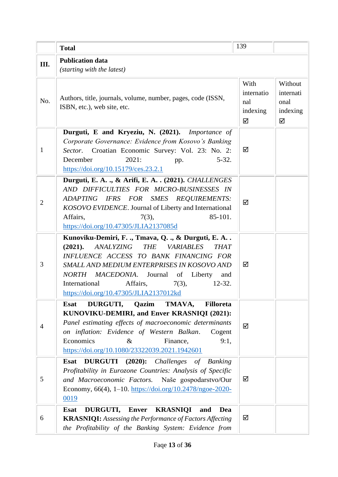|                | <b>Total</b>                                                                                                                                                                                                                                                                                                                                                            | 139                                        |                                               |
|----------------|-------------------------------------------------------------------------------------------------------------------------------------------------------------------------------------------------------------------------------------------------------------------------------------------------------------------------------------------------------------------------|--------------------------------------------|-----------------------------------------------|
| Ш.             | <b>Publication data</b><br>(starting with the latest)                                                                                                                                                                                                                                                                                                                   |                                            |                                               |
| No.            | Authors, title, journals, volume, number, pages, code (ISSN,<br>ISBN, etc.), web site, etc.                                                                                                                                                                                                                                                                             | With<br>internatio<br>nal<br>indexing<br>☑ | Without<br>internati<br>onal<br>indexing<br>☑ |
| $\mathbf{1}$   | Durguti, E and Kryeziu, N. (2021). Importance of<br>Corporate Governance: Evidence from Kosovo's Banking<br>Croatian Economic Survey: Vol. 23: No. 2:<br>Sector.<br>December<br>2021:<br>$5 - 32.$<br>pp.<br>https://doi.org/10.15179/ces.23.2.1                                                                                                                        | ☑                                          |                                               |
| $\overline{2}$ | Durguti, E. A., & Arifi, E. A., (2021). CHALLENGES<br>AND DIFFICULTIES FOR MICRO-BUSINESSES IN<br>ADAPTING IFRS FOR SMES REQUIREMENTS:<br>KOSOVO EVIDENCE. Journal of Liberty and International<br>85-101.<br>Affairs,<br>$7(3)$ ,<br>https://doi.org/10.47305/JLIA2137085d                                                                                             | ☑                                          |                                               |
| 3              | Kunoviku-Demiri, F. ., Tmava, Q. ., & Durguti, E. A<br>(2021).<br><i>ANALYZING</i><br><b>THE</b><br><b>VARIABLES</b><br><b>THAT</b><br>INFLUENCE ACCESS TO BANK FINANCING FOR<br>SMALL AND MEDIUM ENTERPRISES IN KOSOVO AND<br>NORTH MACEDONIA. Journal of Liberty<br>and<br>Affairs, $7(3)$ ,<br>International<br>$12 - 32.$<br>https://doi.org/10.47305/JLIA2137012kd | ☑                                          |                                               |
| $\overline{4}$ | DURGUTI,<br>Qazim<br>TMAVA,<br><b>Filloreta</b><br><b>Esat</b><br>KUNOVIKU-DEMIRI, and Enver KRASNIQI (2021):<br>Panel estimating effects of macroeconomic determinants<br>on inflation: Evidence of Western Balkan.<br>Cogent<br>Economics<br>Finance,<br>9:1,<br>$\&$<br>https://doi.org/10.1080/23322039.2021.1942601                                                | ☑                                          |                                               |
| 5              | $(2020)$ :<br>Challenges of<br><b>DURGUTI</b><br><b>Esat</b><br><b>Banking</b><br>Profitability in Eurozone Countries: Analysis of Specific<br>and Macroeconomic Factors. Naše gospodarstvo/Our<br>Economy, 66(4), 1–10. https://doi.org/10.2478/ngoe-2020-<br>0019                                                                                                     | ☑                                          |                                               |
| 6              | DURGUTI, Enver KRASNIQI<br><b>Esat</b><br>and<br>Dea<br><b>KRASNIQI:</b> Assessing the Performance of Factors Affecting<br>the Profitability of the Banking System: Evidence from                                                                                                                                                                                       | ☑                                          |                                               |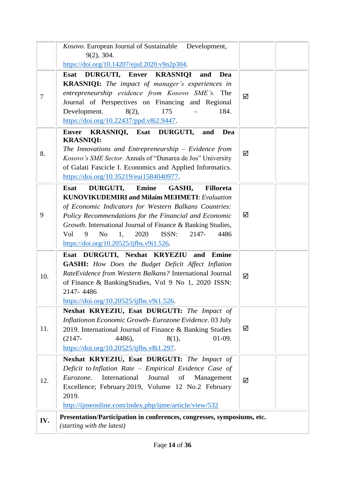|                | Kosovo. European Journal of Sustainable Development,<br>9(2), 304.                                                                                                                                                                                                                                                                                                                                                                                                                 |   |  |
|----------------|------------------------------------------------------------------------------------------------------------------------------------------------------------------------------------------------------------------------------------------------------------------------------------------------------------------------------------------------------------------------------------------------------------------------------------------------------------------------------------|---|--|
|                | https://doi.org/10.14207/ejsd.2020.v9n2p304.                                                                                                                                                                                                                                                                                                                                                                                                                                       |   |  |
| $\overline{7}$ | DURGUTI, Enver KRASNIQI<br><b>Esat</b><br>Dea<br>and<br><b>KRASNIQI:</b> The impact of manager's experiences in<br>entrepreneurship evidence from Kosovo SME's. The<br>Journal of Perspectives on Financing and Regional<br>175<br>184.<br>Development.<br>8(2),<br>https://doi.org/10.22437/ppd.v8i2.9447.                                                                                                                                                                        | ☑ |  |
| 8.             | KRASNIQI, Esat DURGUTI,<br>Dea<br><b>Enver</b><br>and<br><b>KRASNIQI:</b><br>The Innovations and Entrepreneurship $-$ Evidence from<br>Kosovo's SME Sector. Annals of "Dunarea de Jos" University<br>of Galati Fascicle I. Economics and Applied Informatics.<br>https://doi.org/10.35219/eai1584040977.                                                                                                                                                                           | ☑ |  |
| 9              | DURGUTI,<br><b>Emine</b><br><b>Esat</b><br>GASHI,<br><b>Filloreta</b><br><b>KUNOVIKUDEMIRI and Milaim MEHMETI: Evaluation</b><br>of Economic Indicators for Western Balkans Countries:<br>Policy Recommendations for the Financial and Economic<br>Growth. International Journal of Finance & Banking Studies,<br>ISSN:<br>2147-<br>4486<br>Vol<br>9<br>N <sub>o</sub><br>1,<br>2020<br>$\frac{https://doi.org/10.20525/ijfbs.v9i1.526}{https://doi.org/10.20525/ijfbs.v9i1.526}.$ | ☑ |  |
| 10.            | Esat DURGUTI, Nexhat KRYEZIU and Emine<br><b>GASHI:</b> How Does the Budget Deficit Affect Inflation<br>RateEvidence from Western Balkans? International Journal<br>of Finance & BankingStudies, Vol 9 No 1, 2020 ISSN:<br>2147-4486<br>$\frac{https://doi.org/10.20525/ijfbs.v9i1.526}{https://doi.org/10.20525/ijfbs.v9i1.526}.$                                                                                                                                                 | ☑ |  |
| 11.            | Nexhat KRYEZIU, Esat DURGUTI: The Impact of<br>Inflationon Economic Growth- Eurozone Evidence. 03 July<br>2019. International Journal of Finance & Banking Studies<br>$01-09.$<br>$(2147 -$<br>4486),<br>8(1),<br>$\frac{https://doi.org/10.20525/ijfbs.v8i1.297}{https://doi.org/10.20525/ijfbs.v8i1.297}.$                                                                                                                                                                       | ☑ |  |
| 12.            | Nexhat KRYEZIU, Esat DURGUTI: The Impact of<br>Deficit to Inflation Rate - Empirical Evidence Case of<br>Journal<br>International<br>of<br>Eurozone.<br>Management<br>Excellence; February 2019, Volume 12 No.2 February<br>2019.<br>http://ijmeonline.com/index.php/ijme/article/view/532                                                                                                                                                                                         | ☑ |  |
| IV.            | Presentation/Participation in conferences, congresses, symposiums, etc.<br>(starting with the latest)                                                                                                                                                                                                                                                                                                                                                                              |   |  |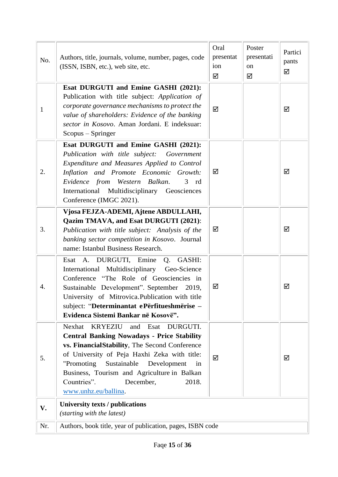| No.          | Authors, title, journals, volume, number, pages, code<br>(ISSN, ISBN, etc.), web site, etc.                                                                                                                                                                                                                                                                             | Oral<br>presentat<br>ion<br>☑ | Poster<br>presentati<br>on<br>☑ | Partici<br>pants<br>☑ |
|--------------|-------------------------------------------------------------------------------------------------------------------------------------------------------------------------------------------------------------------------------------------------------------------------------------------------------------------------------------------------------------------------|-------------------------------|---------------------------------|-----------------------|
| $\mathbf{1}$ | Esat DURGUTI and Emine GASHI (2021):<br>Publication with title subject: Application of<br>corporate governance mechanisms to protect the<br>value of shareholders: Evidence of the banking<br>sector in Kosovo. Aman Jordani. E indeksuar:<br>Scopus – Springer                                                                                                         | ☑                             |                                 | ☑                     |
| 2.           | Esat DURGUTI and Emine GASHI (2021):<br>Publication with title subject: Government<br>Expenditure and Measures Applied to Control<br>Inflation and Promote Economic Growth:<br>Evidence from Western Balkan.<br>$3$ rd<br>International Multidisciplinary Geosciences<br>Conference (IMGC 2021).                                                                        | ☑                             |                                 | ☑                     |
| 3.           | Vjosa FEJZA-ADEMI, Ajtene ABDULLAHI,<br>Qazim TMAVA, and Esat DURGUTI (2021):<br>Publication with title subject: Analysis of the<br>banking sector competition in Kosovo. Journal<br>name: Istanbul Business Research.                                                                                                                                                  | ☑                             |                                 | ☑                     |
| 4.           | Esat A. DURGUTI, Emine<br>Q.<br>GASHI:<br>International Multidisciplinary Geo-Science<br>Conference "The Role of Geosciencies in<br>Sustainable Development". September 2019,<br>University of Mitrovica.Publication with title<br>subject: "Determinantat ePërfitueshmërise -<br>Evidenca Sistemi Bankar në Kosovë".                                                   | ☑                             |                                 | ☑                     |
| 5.           | Nexhat<br><b>KRYEZIU</b><br>and<br>Esat<br>DURGUTI.<br><b>Central Banking Nowadays - Price Stability</b><br>vs. FinancialStability, The Second Conference<br>of University of Peja Haxhi Zeka with title:<br>"Promoting<br>Sustainable<br>Development<br>in<br>Business, Tourism and Agriculture in Balkan<br>Countries".<br>December,<br>2018.<br>www.unhz.eu/ballina. | ☑                             |                                 | ☑                     |
| V.           | University texts / publications<br>(starting with the latest)                                                                                                                                                                                                                                                                                                           |                               |                                 |                       |
| Nr.          | Authors, book title, year of publication, pages, ISBN code                                                                                                                                                                                                                                                                                                              |                               |                                 |                       |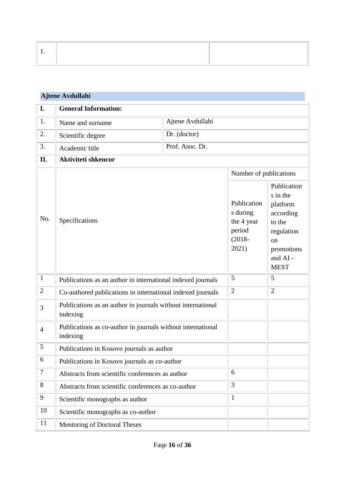| Ajtene Avdullahi |                                                                         |                        |                                                                       |                                                                                                                                   |
|------------------|-------------------------------------------------------------------------|------------------------|-----------------------------------------------------------------------|-----------------------------------------------------------------------------------------------------------------------------------|
| I.               | <b>General Information:</b>                                             |                        |                                                                       |                                                                                                                                   |
| 1.               | Name and surname                                                        | Ajtene Avdullahi       |                                                                       |                                                                                                                                   |
| 2.               | Scientific degree                                                       | Dr. (doctor)           |                                                                       |                                                                                                                                   |
| 3.               | Academic title                                                          | Prof. Asoc. Dr.        |                                                                       |                                                                                                                                   |
| II.              | <b>Aktiviteti shkencor</b>                                              |                        |                                                                       |                                                                                                                                   |
|                  |                                                                         | Number of publications |                                                                       |                                                                                                                                   |
| No.              | Specifications                                                          |                        | Publication<br>s during<br>the 4 year<br>period<br>$(2018 -$<br>2021) | Publication<br>s in the<br>platform<br>according<br>to the<br>regulation<br><sub>on</sub><br>promotions<br>and AI-<br><b>MEST</b> |
| $\mathbf{1}$     | Publications as an author in international indexed journals             |                        | 5                                                                     | 5                                                                                                                                 |
| $\overline{2}$   | Co-authored publications in international indexed journals              |                        | $\overline{2}$                                                        | $\overline{2}$                                                                                                                    |
| 3                | Publications as an author in journals without international<br>indexing |                        |                                                                       |                                                                                                                                   |
| $\overline{4}$   | Publications as co-author in journals without international<br>indexing |                        |                                                                       |                                                                                                                                   |
| 5                | Publications in Kosovo journals as author                               |                        |                                                                       |                                                                                                                                   |
| 6                | Publications in Kosovo journals as co-author                            |                        |                                                                       |                                                                                                                                   |
| $\tau$           | Abstracts from scientific conferences as author                         |                        | 6                                                                     |                                                                                                                                   |
| $8\,$            | Abstracts from scientific conferences as co-author                      |                        | 3                                                                     |                                                                                                                                   |
| 9                | Scientific monographs as author                                         |                        | $\mathbf{1}$                                                          |                                                                                                                                   |
| 10               | Scientific monographs as co-author                                      |                        |                                                                       |                                                                                                                                   |
| 11               | Mentoring of Doctoral Theses                                            |                        |                                                                       |                                                                                                                                   |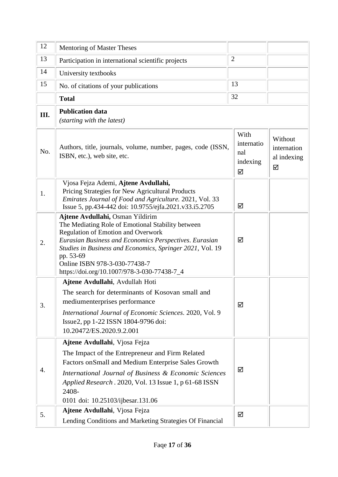| 12   | Mentoring of Master Theses                                                                                                                                                                                                                                                                                                                             |                                            |                                            |
|------|--------------------------------------------------------------------------------------------------------------------------------------------------------------------------------------------------------------------------------------------------------------------------------------------------------------------------------------------------------|--------------------------------------------|--------------------------------------------|
| 13   | Participation in international scientific projects                                                                                                                                                                                                                                                                                                     | $\overline{2}$                             |                                            |
| 14   | University textbooks                                                                                                                                                                                                                                                                                                                                   |                                            |                                            |
| 15   | No. of citations of your publications                                                                                                                                                                                                                                                                                                                  | 13                                         |                                            |
|      | <b>Total</b>                                                                                                                                                                                                                                                                                                                                           | 32                                         |                                            |
| III. | <b>Publication data</b><br>(starting with the latest)                                                                                                                                                                                                                                                                                                  |                                            |                                            |
| No.  | Authors, title, journals, volume, number, pages, code (ISSN,<br>ISBN, etc.), web site, etc.                                                                                                                                                                                                                                                            | With<br>internatio<br>nal<br>indexing<br>☑ | Without<br>internation<br>al indexing<br>☑ |
| 1.   | Vjosa Fejza Ademi, Ajtene Avdullahi,<br>Pricing Strategies for New Agricultural Products<br>Emirates Journal of Food and Agriculture. 2021, Vol. 33<br>Issue 5, pp.434-442 doi: 10.9755/ejfa.2021.v33.i5.2705                                                                                                                                          | ☑                                          |                                            |
| 2.   | Ajtene Avdullahi, Osman Yildirim<br>The Mediating Role of Emotional Stability between<br><b>Regulation of Emotion and Overwork</b><br>Eurasian Business and Economics Perspectives. Eurasian<br>Studies in Business and Economics, Springer 2021, Vol. 19<br>pp. 53-69<br>Online ISBN 978-3-030-77438-7<br>https://doi.org/10.1007/978-3-030-77438-7_4 | ☑                                          |                                            |
| 3.   | Ajtene Avdullahi, Avdullah Hoti<br>The search for determinants of Kosovan small and<br>mediumenterprises performance<br>International Journal of Economic Sciences. 2020, Vol. 9<br>Issue2, pp 1-22 ISSN 1804-9796 doi:<br>10.20472/ES.2020.9.2.001                                                                                                    | ☑                                          |                                            |
| 4.   | Ajtene Avdullahi, Vjosa Fejza<br>The Impact of the Entrepreneur and Firm Related<br>Factors on Small and Medium Enterprise Sales Growth<br>International Journal of Business & Economic Sciences<br>Applied Research. 2020, Vol. 13 Issue 1, p 61-68 ISSN<br>2408-<br>0101 doi: 10.25103/ijbesar.131.06                                                | ☑                                          |                                            |
| 5.   | Ajtene Avdullahi, Vjosa Fejza<br>Lending Conditions and Marketing Strategies Of Financial                                                                                                                                                                                                                                                              | ☑                                          |                                            |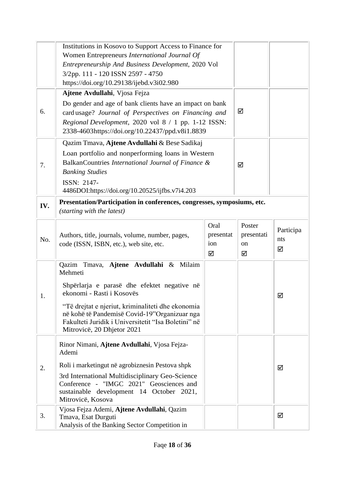|     | Institutions in Kosovo to Support Access to Finance for                                           |           |            |           |
|-----|---------------------------------------------------------------------------------------------------|-----------|------------|-----------|
|     | Women Entrepreneurs International Journal Of                                                      |           |            |           |
|     | Entrepreneurship And Business Development, 2020 Vol                                               |           |            |           |
|     | 3/2pp. 111 - 120 ISSN 2597 - 4750                                                                 |           |            |           |
|     | https://doi.org/10.29138/ijebd.v3i02.980                                                          |           |            |           |
|     | Ajtene Avdullahi, Vjosa Fejza                                                                     |           |            |           |
|     | Do gender and age of bank clients have an impact on bank                                          |           |            |           |
| 6.  | card usage? Journal of Perspectives on Financing and                                              |           | ☑          |           |
|     | Regional Development, 2020 vol 8 / 1 pp. 1-12 ISSN:                                               |           |            |           |
|     | 2338-4603https://doi.org/10.22437/ppd.v8i1.8839                                                   |           |            |           |
|     | Qazim Tmava, Ajtene Avdullahi & Bese Sadikaj                                                      |           |            |           |
|     | Loan portfolio and nonperforming loans in Western                                                 |           |            |           |
| 7.  | BalkanCountries International Journal of Finance &                                                |           | ☑          |           |
|     | <b>Banking Studies</b>                                                                            |           |            |           |
|     | ISSN: 2147-                                                                                       |           |            |           |
|     | 4486DOI:https://doi.org/10.20525/ijfbs.v7i4.203                                                   |           |            |           |
| IV. | Presentation/Participation in conferences, congresses, symposiums, etc.                           |           |            |           |
|     | (starting with the latest)                                                                        |           |            |           |
|     |                                                                                                   | Oral      | Poster     |           |
|     | Authors, title, journals, volume, number, pages,                                                  | presentat | presentati | Participa |
| No. | code (ISSN, ISBN, etc.), web site, etc.                                                           | ion       | on         | nts       |
|     |                                                                                                   | ☑         | ☑          | ☑         |
|     | Tmava, Ajtene Avdullahi & Milaim<br>Qazim                                                         |           |            |           |
|     |                                                                                                   |           |            |           |
|     | Mehmeti                                                                                           |           |            |           |
|     | Shpërlarja e parasë dhe efektet negative në                                                       |           |            |           |
| 1.  | ekonomi - Rasti i Kosovës                                                                         |           |            | ☑         |
|     |                                                                                                   |           |            |           |
|     | "Të drejtat e njeriut, kriminaliteti dhe ekonomia<br>në kohë të Pandemisë Covid-19"Organizuar nga |           |            |           |
|     | Fakulteti Juridik i Universitetit "Isa Boletini" në                                               |           |            |           |
|     | Mitrovicë, 20 Dhjetor 2021                                                                        |           |            |           |
|     | Rinor Nimani, Ajtene Avdullahi, Vjosa Fejza-                                                      |           |            |           |
|     | Ademi                                                                                             |           |            |           |
|     | Roli i marketingut në agrobiznesin Pestova shpk                                                   |           |            | ☑         |
| 2.  | 3rd International Multidisciplinary Geo-Science                                                   |           |            |           |
|     | Conference - "IMGC 2021" Geosciences and                                                          |           |            |           |
|     | sustainable development 14 October 2021,                                                          |           |            |           |
|     | Mitrovicë, Kosova                                                                                 |           |            |           |
| 3.  | Vjosa Fejza Ademi, Ajtene Avdullahi, Qazim<br>Tmava, Esat Durguti                                 |           |            | ☑         |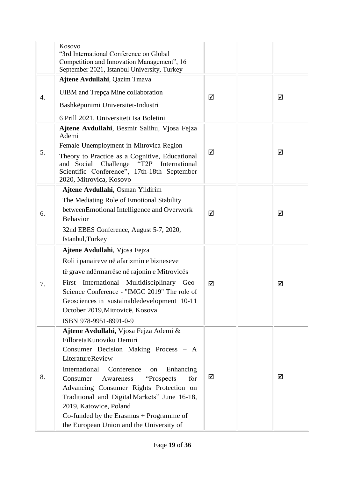|    | Kosovo<br>"3rd International Conference on Global<br>Competition and Innovation Management", 16<br>September 2021, Istanbul University, Turkey                                                                                                                                                                                                                                                                                                      |   |   |
|----|-----------------------------------------------------------------------------------------------------------------------------------------------------------------------------------------------------------------------------------------------------------------------------------------------------------------------------------------------------------------------------------------------------------------------------------------------------|---|---|
| 4. | Ajtene Avdullahi, Qazim Tmava<br><b>UIBM</b> and Trepça Mine collaboration<br>Bashkëpunimi Universitet-Industri<br>6 Prill 2021, Universiteti Isa Boletini                                                                                                                                                                                                                                                                                          | ☑ | ☑ |
| 5. | Ajtene Avdullahi, Besmir Salihu, Vjosa Fejza<br>Ademi<br>Female Unemployment in Mitrovica Region<br>Theory to Practice as a Cognitive, Educational<br>"T2P<br>and Social<br>Challenge<br>International<br>Scientific Conference", 17th-18th September<br>2020, Mitrovica, Kosovo                                                                                                                                                                    | ☑ | ☑ |
| 6. | Ajtene Avdullahi, Osman Yildirim<br>The Mediating Role of Emotional Stability<br>betweenEmotional Intelligence and Overwork<br><b>Behavior</b><br>32nd EBES Conference, August 5-7, 2020,<br>Istanbul, Turkey                                                                                                                                                                                                                                       | ☑ | ☑ |
| 7. | Ajtene Avdullahi, Vjosa Fejza<br>Roli i panaireve në afarizmin e bizneseve<br>të grave ndërmarrëse në rajonin e Mitrovicës<br>International Multidisciplinary Geo-<br>First<br>Science Conference - "IMGC 2019" The role of<br>Geosciences in sustainabledevelopment 10-11<br>October 2019, Mitrovicë, Kosova<br>ISBN 978-9951-8991-0-9                                                                                                             | ☑ | ☑ |
| 8. | Ajtene Avdullahi, Vjosa Fejza Ademi &<br>Filloreta Kunoviku Demiri<br>Consumer Decision Making Process - A<br><b>LiteratureReview</b><br>International<br>Conference<br>Enhancing<br>on<br>Consumer<br>"Prospects<br>for<br>Awareness<br>Advancing Consumer Rights Protection on<br>Traditional and Digital Markets" June 16-18,<br>2019, Katowice, Poland<br>Co-funded by the Erasmus $+$ Programme of<br>the European Union and the University of | ☑ | ☑ |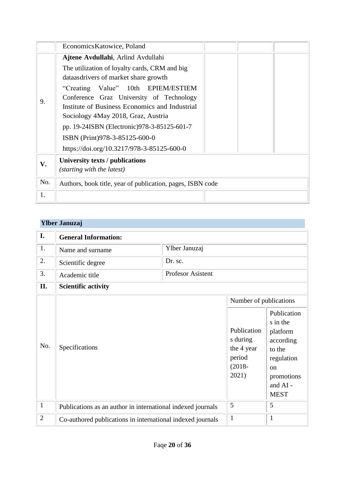| Economics Katowice, Poland                                 |
|------------------------------------------------------------|
| Ajtene Avdullahi, Arlind Avdullahi                         |
| The utilization of loyalty cards, CRM and big              |
| dataasdrivers of market share growth                       |
| "Creating Value" 10th EPIEM/ESTIEM                         |
| Conference Graz University of Technology                   |
| Institute of Business Economics and Industrial             |
| Sociology 4May 2018, Graz, Austria                         |
| pp. 19-24ISBN (Electronic) 978-3-85125-601-7               |
| ISBN (Print)978-3-85125-600-0                              |
| https://doi.org/10.3217/978-3-85125-600-0                  |
| University texts / publications                            |
| (starting with the latest)                                 |
| Authors, book title, year of publication, pages, ISBN code |
|                                                            |
|                                                            |

## **Ylber Januzaj**

| I.             | <b>General Information:</b>                                 |                   |                                                                       |                                                                                                                                    |  |
|----------------|-------------------------------------------------------------|-------------------|-----------------------------------------------------------------------|------------------------------------------------------------------------------------------------------------------------------------|--|
| 1.             | Name and surname                                            | Ylber Januzaj     |                                                                       |                                                                                                                                    |  |
| 2.             | Scientific degree                                           | Dr. sc.           |                                                                       |                                                                                                                                    |  |
| 3.             | Academic title                                              | Profesor Asistent |                                                                       |                                                                                                                                    |  |
| II.            | <b>Scientific activity</b>                                  |                   |                                                                       |                                                                                                                                    |  |
|                |                                                             |                   | Number of publications                                                |                                                                                                                                    |  |
| No.            | Specifications                                              |                   | Publication<br>s during<br>the 4 year<br>period<br>$(2018 -$<br>2021) | Publication<br>s in the<br>platform<br>according<br>to the<br>regulation<br><sub>on</sub><br>promotions<br>and AI -<br><b>MEST</b> |  |
| $\mathbf{1}$   | Publications as an author in international indexed journals |                   | 5                                                                     | 5                                                                                                                                  |  |
| $\overline{2}$ | Co-authored publications in international indexed journals  |                   | $\mathbf{1}$                                                          | $\mathbf{1}$                                                                                                                       |  |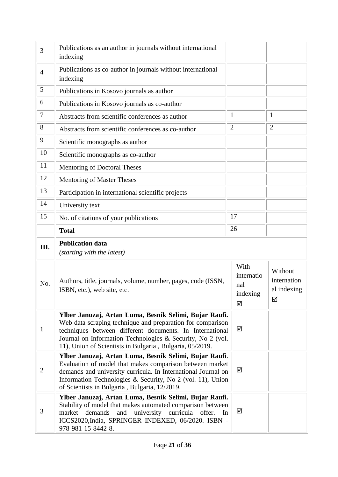| 3              | Publications as an author in journals without international<br>indexing                                                                                                                                                                                                                                    |                                            |                                            |
|----------------|------------------------------------------------------------------------------------------------------------------------------------------------------------------------------------------------------------------------------------------------------------------------------------------------------------|--------------------------------------------|--------------------------------------------|
| $\overline{4}$ | Publications as co-author in journals without international<br>indexing                                                                                                                                                                                                                                    |                                            |                                            |
| 5              | Publications in Kosovo journals as author                                                                                                                                                                                                                                                                  |                                            |                                            |
| 6              | Publications in Kosovo journals as co-author                                                                                                                                                                                                                                                               |                                            |                                            |
| 7              | Abstracts from scientific conferences as author                                                                                                                                                                                                                                                            | $\mathbf 1$                                | $\mathbf{1}$                               |
| 8              | Abstracts from scientific conferences as co-author                                                                                                                                                                                                                                                         | $\overline{2}$                             | $\overline{2}$                             |
| 9              | Scientific monographs as author                                                                                                                                                                                                                                                                            |                                            |                                            |
| 10             | Scientific monographs as co-author                                                                                                                                                                                                                                                                         |                                            |                                            |
| 11             | Mentoring of Doctoral Theses                                                                                                                                                                                                                                                                               |                                            |                                            |
| 12             | Mentoring of Master Theses                                                                                                                                                                                                                                                                                 |                                            |                                            |
| 13             | Participation in international scientific projects                                                                                                                                                                                                                                                         |                                            |                                            |
| 14             | University text                                                                                                                                                                                                                                                                                            |                                            |                                            |
| 15             | No. of citations of your publications                                                                                                                                                                                                                                                                      | 17                                         |                                            |
|                | <b>Total</b>                                                                                                                                                                                                                                                                                               | 26                                         |                                            |
|                |                                                                                                                                                                                                                                                                                                            |                                            |                                            |
| Ш.             | <b>Publication data</b><br>(starting with the latest)                                                                                                                                                                                                                                                      |                                            |                                            |
| No.            | Authors, title, journals, volume, number, pages, code (ISSN,<br>ISBN, etc.), web site, etc.                                                                                                                                                                                                                | With<br>internatio<br>nal<br>indexing<br>☑ | Without<br>internation<br>al indexing<br>☑ |
| $\mathbf{1}$   | Ylber Januzaj, Artan Luma, Besnik Selimi, Bujar Raufi.<br>Web data scraping technique and preparation for comparison<br>techniques between different documents. In International<br>Journal on Information Technologies & Security, No 2 (vol.<br>11), Union of Scientists in Bulgaria, Bulgaria, 05/2019. | ☑                                          |                                            |
| $\overline{2}$ | Ylber Januzaj, Artan Luma, Besnik Selimi, Bujar Raufi.<br>Evaluation of model that makes comparison between market<br>demands and university curricula. In International Journal on<br>Information Technologies & Security, No 2 (vol. 11), Union<br>of Scientists in Bulgaria, Bulgaria, 12/2019.         | ☑                                          |                                            |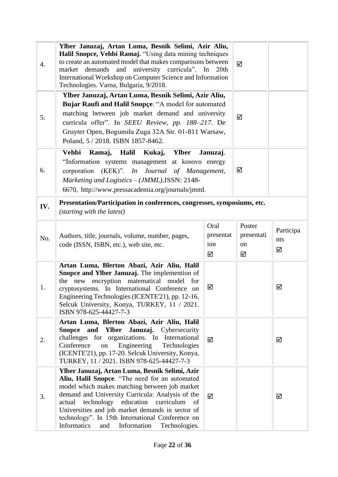| 4.  | Ylber Januzaj, Artan Luma, Besnik Selimi, Azir Aliu,<br>Halil Snopce, Vehbi Ramaj. "Using data mining techniques<br>to create an automated model that makes comparisons between<br>market demands and university curricula". In<br>20th<br>International Workshop on Computer Science and Information<br>Technologies. Varna, Bulgaria, 9/2018.                                                                              |                               | ☑                               |                       |
|-----|------------------------------------------------------------------------------------------------------------------------------------------------------------------------------------------------------------------------------------------------------------------------------------------------------------------------------------------------------------------------------------------------------------------------------|-------------------------------|---------------------------------|-----------------------|
| 5.  | Ylber Januzaj, Artan Luma, Besnik Selimi, Azir Aliu,<br>Bujar Raufi and Halil Snopce. "A model for automated<br>matching between job market demand and university<br>curricula offer". In SEEU Review, pp. 188-217. De<br>Gruyter Open, Bogumiła Zuga 32A Str. 01-811 Warsaw,<br>Poland, 5 / 2018. ISBN 1857-8462.                                                                                                           |                               | ☑                               |                       |
| 6.  | Vehbi<br>Ramaj,<br>Halil<br>Kukaj,<br><b>Ylber</b><br>Januzaj.<br>"Information systems management at kosovo energy<br>corporation (KEK)". In Journal of Management,<br>Marketing and Logistics - (JMML), ISSN: 2148-<br>6670, http://www.pressacademia.org/journals/jmml.                                                                                                                                                    |                               | ☑                               |                       |
| IV. | Presentation/Participation in conferences, congresses, symposiums, etc.<br>(starting with the latest)                                                                                                                                                                                                                                                                                                                        |                               |                                 |                       |
| No. | Authors, title, journals, volume, number, pages,<br>code (ISSN, ISBN, etc.), web site, etc.                                                                                                                                                                                                                                                                                                                                  | Oral<br>presentat<br>ion<br>☑ | Poster<br>presentati<br>on<br>☑ | Participa<br>nts<br>☑ |
| 1.  | Artan Luma, Blerton Abazi, Azir Aliu, Halil<br>Snopce and Ylber Januzaj. The implemention of<br>the new encryption matematical model<br>for<br>cryptosystems. In International Conference on<br>Engineering Technologies (ICENTE'21), pp. 12-16.<br>Selcuk University, Konya, TURKEY, 11 / 2021.<br>ISBN 978-625-44427-7-3                                                                                                   | ☑                             |                                 | ☑                     |
| 2.  | Artan Luma, Blerton Abazi, Azir Aliu, Halil<br>Januzaj. Cybersecurity<br>and Ylber<br>Snopce<br>challenges for organizations. In International<br>Conference<br>Engineering<br>Technologies<br>on<br>(ICENTE'21), pp. 17-20. Selcuk University, Konya,<br>TURKEY, 11 / 2021. ISBN 978-625-44427-7-3                                                                                                                          | ☑                             |                                 | ☑                     |
| 3.  | Ylber Januzaj, Artan Luma, Besnik Selimi, Azir<br>Aliu, Halil Snopce. "The need for an automated<br>model which makes matching between job market<br>demand and University Curricula: Analysis of the<br>education<br>curriculum<br>actual<br>technology<br>of<br>Universities and job market demands in sector of<br>technology". In 15th International Conference on<br>Informatics<br>Information<br>and<br>Technologies. | ☑                             |                                 | ☑                     |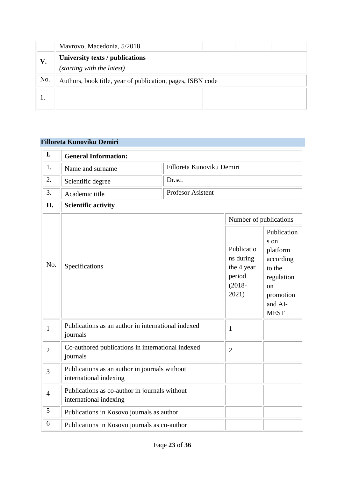|     | Mavrovo, Macedonia, 5/2018.                                |
|-----|------------------------------------------------------------|
| V.  | University texts / publications                            |
|     | (starting with the latest)                                 |
| No. | Authors, book title, year of publication, pages, ISBN code |
|     |                                                            |

## **Filloreta Kunoviku Demiri**

| I.             | <b>General Information:</b>                                             |                                                                                                          |                           |                                                                                |  |
|----------------|-------------------------------------------------------------------------|----------------------------------------------------------------------------------------------------------|---------------------------|--------------------------------------------------------------------------------|--|
| 1.             | Name and surname                                                        |                                                                                                          | Filloreta Kunoviku Demiri |                                                                                |  |
| 2.             | Scientific degree                                                       | Dr.sc.                                                                                                   |                           |                                                                                |  |
| 3.             | Academic title                                                          | <b>Profesor Asistent</b>                                                                                 |                           |                                                                                |  |
| Π.             | <b>Scientific activity</b>                                              |                                                                                                          |                           |                                                                                |  |
|                |                                                                         |                                                                                                          | Number of publications    |                                                                                |  |
| No.            | Specifications                                                          | s on<br>Publicatio<br>ns during<br>the 4 year<br>to the<br>period<br>$(2018 -$<br>on<br>2021)<br>and AI- |                           | Publication<br>platform<br>according<br>regulation<br>promotion<br><b>MEST</b> |  |
| $\mathbf{1}$   | Publications as an author in international indexed<br>journals          |                                                                                                          | $\mathbf{1}$              |                                                                                |  |
| $\overline{2}$ | Co-authored publications in international indexed<br>journals           |                                                                                                          | $\overline{2}$            |                                                                                |  |
| 3              | Publications as an author in journals without<br>international indexing |                                                                                                          |                           |                                                                                |  |
| $\overline{4}$ | Publications as co-author in journals without<br>international indexing |                                                                                                          |                           |                                                                                |  |
| 5              | Publications in Kosovo journals as author                               |                                                                                                          |                           |                                                                                |  |
| 6              | Publications in Kosovo journals as co-author                            |                                                                                                          |                           |                                                                                |  |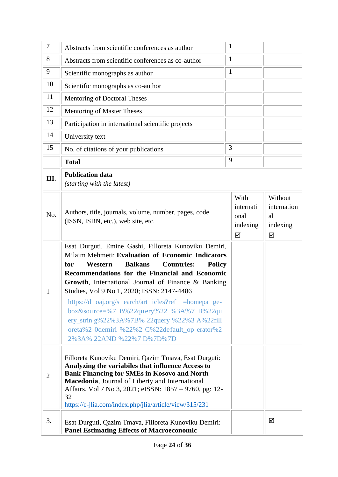| 7              | Abstracts from scientific conferences as author                                                                                                                                                                                                                                                                                                                                                                                                                                                                                                                                | $\mathbf{1}$                               |                                               |
|----------------|--------------------------------------------------------------------------------------------------------------------------------------------------------------------------------------------------------------------------------------------------------------------------------------------------------------------------------------------------------------------------------------------------------------------------------------------------------------------------------------------------------------------------------------------------------------------------------|--------------------------------------------|-----------------------------------------------|
| 8              | Abstracts from scientific conferences as co-author                                                                                                                                                                                                                                                                                                                                                                                                                                                                                                                             | 1                                          |                                               |
| 9              | Scientific monographs as author                                                                                                                                                                                                                                                                                                                                                                                                                                                                                                                                                | $\mathbf{1}$                               |                                               |
| 10             | Scientific monographs as co-author                                                                                                                                                                                                                                                                                                                                                                                                                                                                                                                                             |                                            |                                               |
| 11             | Mentoring of Doctoral Theses                                                                                                                                                                                                                                                                                                                                                                                                                                                                                                                                                   |                                            |                                               |
| 12             | Mentoring of Master Theses                                                                                                                                                                                                                                                                                                                                                                                                                                                                                                                                                     |                                            |                                               |
| 13             | Participation in international scientific projects                                                                                                                                                                                                                                                                                                                                                                                                                                                                                                                             |                                            |                                               |
| 14             | University text                                                                                                                                                                                                                                                                                                                                                                                                                                                                                                                                                                |                                            |                                               |
| 15             | No. of citations of your publications                                                                                                                                                                                                                                                                                                                                                                                                                                                                                                                                          | 3                                          |                                               |
|                | <b>Total</b>                                                                                                                                                                                                                                                                                                                                                                                                                                                                                                                                                                   | 9                                          |                                               |
| III.           | <b>Publication data</b><br>(starting with the latest)                                                                                                                                                                                                                                                                                                                                                                                                                                                                                                                          |                                            |                                               |
| No.            | Authors, title, journals, volume, number, pages, code<br>(ISSN, ISBN, etc.), web site, etc.                                                                                                                                                                                                                                                                                                                                                                                                                                                                                    | With<br>internati<br>onal<br>indexing<br>☑ | Without<br>internation<br>al<br>indexing<br>☑ |
| 1              | Esat Durguti, Emine Gashi, Filloreta Kunoviku Demiri,<br>Milaim Mehmeti: Evaluation of Economic Indicators<br><b>Balkans</b><br>for<br><b>Countries:</b><br>Western<br><b>Policy</b><br>Recommendations for the Financial and Economic<br>Growth, International Journal of Finance & Banking<br>Studies, Vol 9 No 1, 2020; ISSN: 2147-4486<br>https://d oaj.org/s earch/art icles?ref = homepa ge-<br>box & sou rce=%7 B%22query%22 %3A%7 B%22qu<br>ery_strin g%22%3A%7B% 22query %22%3 A%22fill<br>oreta%2 0demiri %22%2 C%22default_op erator%2<br>2%3A% 22AND %22%7 D%7D%7D |                                            |                                               |
| $\overline{2}$ | Filloreta Kunoviku Demiri, Qazim Tmava, Esat Durguti:<br>Analyzing the variabiles that influence Access to<br><b>Bank Financing for SMEs in Kosovo and North</b><br>Macedonia, Journal of Liberty and International<br>Affairs, Vol 7 No 3, 2021; eISSN: 1857 – 9760, pg: 12-<br>32<br>https://e-jlia.com/index.php/jlia/article/view/315/231                                                                                                                                                                                                                                  |                                            |                                               |
| 3.             | Esat Durguti, Qazim Tmava, Filloreta Kunoviku Demiri:<br><b>Panel Estimating Effects of Macroeconomic</b>                                                                                                                                                                                                                                                                                                                                                                                                                                                                      |                                            | ☑                                             |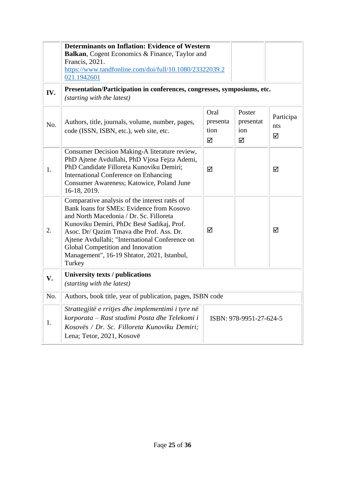|     | <b>Determinants on Inflation: Evidence of Western</b><br>Balkan, Cogent Economics & Finance, Taylor and<br>Francis, 2021.<br>https://www.tandfonline.com/doi/full/10.1080/23322039.2<br>021.1942601                                                                                                                                                                            |                               |                                 |                       |
|-----|--------------------------------------------------------------------------------------------------------------------------------------------------------------------------------------------------------------------------------------------------------------------------------------------------------------------------------------------------------------------------------|-------------------------------|---------------------------------|-----------------------|
| IV. | Presentation/Participation in conferences, congresses, symposiums, etc.<br>(starting with the latest)                                                                                                                                                                                                                                                                          |                               |                                 |                       |
| No. | Authors, title, journals, volume, number, pages,<br>code (ISSN, ISBN, etc.), web site, etc.                                                                                                                                                                                                                                                                                    | Oral<br>presenta<br>tion<br>☑ | Poster<br>presentat<br>ion<br>☑ | Participa<br>nts<br>☑ |
| 1.  | Consumer Decision Making-A literature review,<br>PhD Ajtene Avdullahi, PhD Vjosa Fejza Ademi,<br>PhD Candidate Filloreta Kunoviku Demiri;<br><b>International Conference on Enhancing</b><br>Consumer Awareness; Katowice, Poland June<br>16-18, 2019.                                                                                                                         | ☑                             |                                 | ☑                     |
| 2.  | Comparative analysis of the interest rates of<br>Bank loans for SMEs: Evidence from Kosovo<br>and North Macedonia / Dr. Sc. Filloreta<br>Kunoviku Demiri, PhDc Besë Sadikaj, Prof.<br>Asoc. Dr/ Qazim Tmava dhe Prof. Ass. Dr.<br>Ajtene Avdullahi; "International Conference on<br>Global Competition and Innovation<br>Management", 16-19 Shtator, 2021, Istanbul,<br>Turkey | ☑                             |                                 | ☑                     |
| V.  | University texts / publications<br>(starting with the latest)                                                                                                                                                                                                                                                                                                                  |                               |                                 |                       |
| No. | Authors, book title, year of publication, pages, ISBN code                                                                                                                                                                                                                                                                                                                     |                               |                                 |                       |
| 1.  | Strattegjitë e rritjes dhe implementimi i tyre në<br>korporata – Rast studimi Posta dhe Telekomi i<br>ISBN: 978-9951-27-624-5<br>Kosovës / Dr. Sc. Filloreta Kunoviku Demiri;<br>Lena; Tetor, 2021, Kosovë                                                                                                                                                                     |                               |                                 |                       |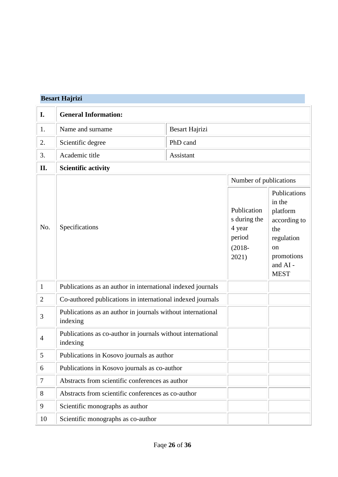## **Besart Hajrizi**

| I.             | <b>General Information:</b>                                             |                |                                                                       |                                                                                                                                   |  |
|----------------|-------------------------------------------------------------------------|----------------|-----------------------------------------------------------------------|-----------------------------------------------------------------------------------------------------------------------------------|--|
| 1.             | Name and surname                                                        | Besart Hajrizi |                                                                       |                                                                                                                                   |  |
| 2.             | Scientific degree                                                       | PhD cand       |                                                                       |                                                                                                                                   |  |
| 3.             | Academic title                                                          | Assistant      |                                                                       |                                                                                                                                   |  |
| II.            | <b>Scientific activity</b>                                              |                |                                                                       |                                                                                                                                   |  |
|                |                                                                         |                | Number of publications                                                |                                                                                                                                   |  |
| No.            | Specifications                                                          |                | Publication<br>s during the<br>4 year<br>period<br>$(2018 -$<br>2021) | Publications<br>in the<br>platform<br>according to<br>the<br>regulation<br><sub>on</sub><br>promotions<br>and AI -<br><b>MEST</b> |  |
| $\mathbf{1}$   | Publications as an author in international indexed journals             |                |                                                                       |                                                                                                                                   |  |
| $\overline{2}$ | Co-authored publications in international indexed journals              |                |                                                                       |                                                                                                                                   |  |
| 3              | Publications as an author in journals without international<br>indexing |                |                                                                       |                                                                                                                                   |  |
| $\overline{4}$ | Publications as co-author in journals without international<br>indexing |                |                                                                       |                                                                                                                                   |  |
| 5              | Publications in Kosovo journals as author                               |                |                                                                       |                                                                                                                                   |  |
| 6              | Publications in Kosovo journals as co-author                            |                |                                                                       |                                                                                                                                   |  |
| $\tau$         | Abstracts from scientific conferences as author                         |                |                                                                       |                                                                                                                                   |  |
| $8\,$          | Abstracts from scientific conferences as co-author                      |                |                                                                       |                                                                                                                                   |  |
| 9              | Scientific monographs as author                                         |                |                                                                       |                                                                                                                                   |  |
| 10             | Scientific monographs as co-author                                      |                |                                                                       |                                                                                                                                   |  |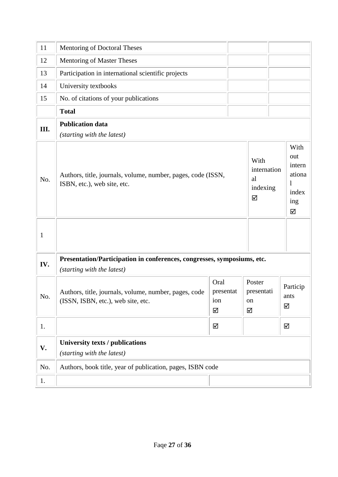| 11           | Mentoring of Doctoral Theses                                                                          |                               |  |                                            |                                                                      |
|--------------|-------------------------------------------------------------------------------------------------------|-------------------------------|--|--------------------------------------------|----------------------------------------------------------------------|
| 12           | Mentoring of Master Theses                                                                            |                               |  |                                            |                                                                      |
| 13           | Participation in international scientific projects                                                    |                               |  |                                            |                                                                      |
| 14           | University textbooks                                                                                  |                               |  |                                            |                                                                      |
| 15           | No. of citations of your publications                                                                 |                               |  |                                            |                                                                      |
|              | <b>Total</b>                                                                                          |                               |  |                                            |                                                                      |
| Ш.           | <b>Publication data</b><br>(starting with the latest)                                                 |                               |  |                                            |                                                                      |
| No.          | Authors, title, journals, volume, number, pages, code (ISSN,<br>ISBN, etc.), web site, etc.           |                               |  | With<br>internation<br>al<br>indexing<br>☑ | With<br>out<br>intern<br>ationa<br>$\mathbf{I}$<br>index<br>ing<br>☑ |
| $\mathbf{1}$ |                                                                                                       |                               |  |                                            |                                                                      |
| IV.          | Presentation/Participation in conferences, congresses, symposiums, etc.<br>(starting with the latest) |                               |  |                                            |                                                                      |
| No.          | Authors, title, journals, volume, number, pages, code<br>(ISSN, ISBN, etc.), web site, etc.           | Oral<br>presentat<br>ion<br>☑ |  | Poster<br>presentati<br>on<br>☑            | Particip<br>ants<br>☑                                                |
| 1.           |                                                                                                       | ☑                             |  |                                            | ☑                                                                    |
| V.           | University texts / publications<br>(starting with the latest)                                         |                               |  |                                            |                                                                      |
| No.          | Authors, book title, year of publication, pages, ISBN code                                            |                               |  |                                            |                                                                      |
| 1.           |                                                                                                       |                               |  |                                            |                                                                      |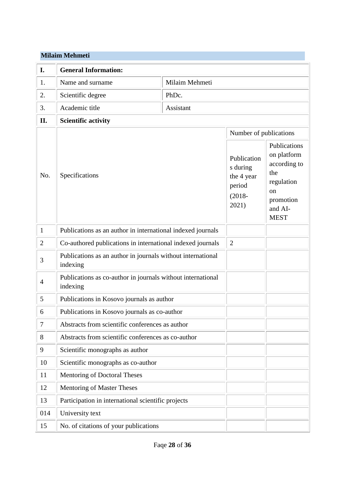#### **Milaim Mehmeti**

| I.             | <b>General Information:</b>                                             |                |                                                                       |                                                                                                                          |
|----------------|-------------------------------------------------------------------------|----------------|-----------------------------------------------------------------------|--------------------------------------------------------------------------------------------------------------------------|
| 1.             | Name and surname                                                        | Milaim Mehmeti |                                                                       |                                                                                                                          |
| 2.             | Scientific degree                                                       | PhDc.          |                                                                       |                                                                                                                          |
| 3.             | Academic title                                                          | Assistant      |                                                                       |                                                                                                                          |
| II.            | <b>Scientific activity</b>                                              |                |                                                                       |                                                                                                                          |
|                |                                                                         |                | Number of publications                                                |                                                                                                                          |
| No.            | Specifications                                                          |                | Publication<br>s during<br>the 4 year<br>period<br>$(2018 -$<br>2021) | Publications<br>on platform<br>according to<br>the<br>regulation<br><sub>on</sub><br>promotion<br>and AI-<br><b>MEST</b> |
| $\mathbf{1}$   | Publications as an author in international indexed journals             |                |                                                                       |                                                                                                                          |
| $\overline{2}$ | Co-authored publications in international indexed journals              |                | $\overline{2}$                                                        |                                                                                                                          |
| 3              | Publications as an author in journals without international<br>indexing |                |                                                                       |                                                                                                                          |
| $\overline{4}$ | Publications as co-author in journals without international<br>indexing |                |                                                                       |                                                                                                                          |
| 5              | Publications in Kosovo journals as author                               |                |                                                                       |                                                                                                                          |
| 6              | Publications in Kosovo journals as co-author                            |                |                                                                       |                                                                                                                          |
| 7              | Abstracts from scientific conferences as author                         |                |                                                                       |                                                                                                                          |
| 8              | Abstracts from scientific conferences as co-author                      |                |                                                                       |                                                                                                                          |
| 9              | Scientific monographs as author                                         |                |                                                                       |                                                                                                                          |
| 10             | Scientific monographs as co-author                                      |                |                                                                       |                                                                                                                          |
| 11             | Mentoring of Doctoral Theses                                            |                |                                                                       |                                                                                                                          |
| 12             | <b>Mentoring of Master Theses</b>                                       |                |                                                                       |                                                                                                                          |
| 13             | Participation in international scientific projects                      |                |                                                                       |                                                                                                                          |
| 014            | University text                                                         |                |                                                                       |                                                                                                                          |
| 15             | No. of citations of your publications                                   |                |                                                                       |                                                                                                                          |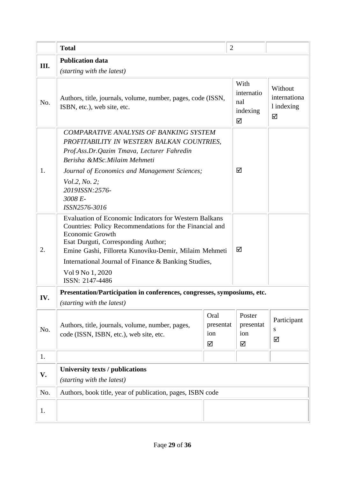|     | <b>Total</b>                                                                                                                                                                                                                                                                                                                                    | $\overline{2}$ |                                            |                                            |
|-----|-------------------------------------------------------------------------------------------------------------------------------------------------------------------------------------------------------------------------------------------------------------------------------------------------------------------------------------------------|----------------|--------------------------------------------|--------------------------------------------|
| Ш.  | <b>Publication data</b>                                                                                                                                                                                                                                                                                                                         |                |                                            |                                            |
|     | (starting with the latest)                                                                                                                                                                                                                                                                                                                      |                |                                            |                                            |
| No. | Authors, title, journals, volume, number, pages, code (ISSN,<br>ISBN, etc.), web site, etc.                                                                                                                                                                                                                                                     |                | With<br>internatio<br>nal<br>indexing<br>☑ | Without<br>internationa<br>1 indexing<br>☑ |
| 1.  | <b>COMPARATIVE ANALYSIS OF BANKING SYSTEM</b><br>PROFITABILITY IN WESTERN BALKAN COUNTRIES,<br>Prof.Ass.Dr.Qazim Tmava, Lecturer Fahredin<br>Berisha &MSc.Milaim Mehmeti<br>Journal of Economics and Management Sciences;<br><i>Vol.2, No. 2;</i><br>2019ISSN:2576-<br>3008 E-<br>ISSN2576-3016                                                 | ☑              |                                            |                                            |
| 2.  | <b>Evaluation of Economic Indicators for Western Balkans</b><br>Countries: Policy Recommendations for the Financial and<br><b>Economic Growth</b><br>Esat Durguti, Corresponding Author;<br>Emine Gashi, Filloreta Kunoviku-Demir, Milaim Mehmeti<br>International Journal of Finance & Banking Studies,<br>Vol 9 No 1, 2020<br>ISSN: 2147-4486 |                | ☑                                          |                                            |
|     | Presentation/Participation in conferences, congresses, symposiums, etc.                                                                                                                                                                                                                                                                         |                |                                            |                                            |
| IV. | (starting with the latest)                                                                                                                                                                                                                                                                                                                      |                |                                            |                                            |
| No. | Oral<br>Authors, title, journals, volume, number, pages,<br>presentat<br>code (ISSN, ISBN, etc.), web site, etc.<br>ion<br>☑                                                                                                                                                                                                                    |                | Poster<br>presentat<br>ion<br>☑            | Participant<br>S<br>☑                      |
| 1.  |                                                                                                                                                                                                                                                                                                                                                 |                |                                            |                                            |
| V.  | University texts / publications<br>(starting with the latest)                                                                                                                                                                                                                                                                                   |                |                                            |                                            |
| No. | Authors, book title, year of publication, pages, ISBN code                                                                                                                                                                                                                                                                                      |                |                                            |                                            |
| 1.  |                                                                                                                                                                                                                                                                                                                                                 |                |                                            |                                            |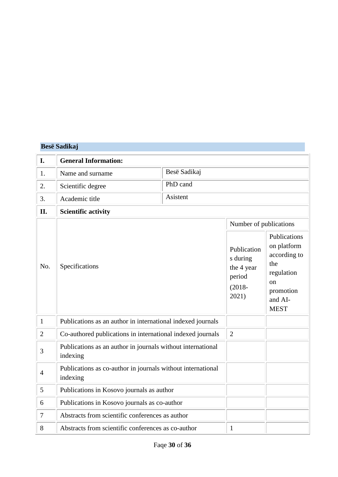|                | <b>Besë Sadikaj</b>                                                     |              |                                                                                                 |                                                                                                                          |
|----------------|-------------------------------------------------------------------------|--------------|-------------------------------------------------------------------------------------------------|--------------------------------------------------------------------------------------------------------------------------|
| I.             | <b>General Information:</b>                                             |              |                                                                                                 |                                                                                                                          |
| 1.             | Name and surname                                                        | Besë Sadikaj |                                                                                                 |                                                                                                                          |
| 2.             | Scientific degree                                                       | PhD cand     |                                                                                                 |                                                                                                                          |
| 3.             | Academic title                                                          | Asistent     |                                                                                                 |                                                                                                                          |
| II.            | <b>Scientific activity</b>                                              |              |                                                                                                 |                                                                                                                          |
| No.            | Specifications                                                          |              | Number of publications<br>Publication<br>s during<br>the 4 year<br>period<br>$(2018 -$<br>2021) | Publications<br>on platform<br>according to<br>the<br>regulation<br><sub>on</sub><br>promotion<br>and AI-<br><b>MEST</b> |
| $\mathbf{1}$   | Publications as an author in international indexed journals             |              |                                                                                                 |                                                                                                                          |
| $\overline{2}$ | Co-authored publications in international indexed journals              |              | $\overline{2}$                                                                                  |                                                                                                                          |
| 3              | Publications as an author in journals without international<br>indexing |              |                                                                                                 |                                                                                                                          |
| $\overline{4}$ | Publications as co-author in journals without international<br>indexing |              |                                                                                                 |                                                                                                                          |
| 5              | Publications in Kosovo journals as author                               |              |                                                                                                 |                                                                                                                          |
| 6              | Publications in Kosovo journals as co-author                            |              |                                                                                                 |                                                                                                                          |
| 7              | Abstracts from scientific conferences as author                         |              |                                                                                                 |                                                                                                                          |
| 8              | Abstracts from scientific conferences as co-author                      |              | $\mathbf{1}$                                                                                    |                                                                                                                          |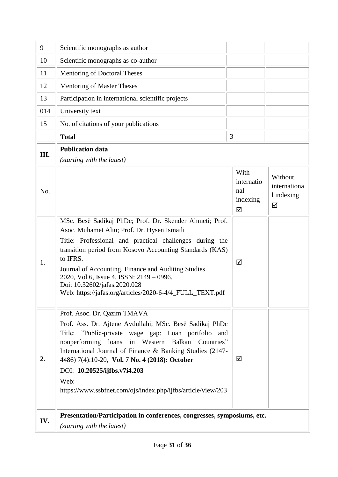| 9    | Scientific monographs as author                                                                                                                                                                                                                                                                                                                                                                                                          |                                            |                                            |
|------|------------------------------------------------------------------------------------------------------------------------------------------------------------------------------------------------------------------------------------------------------------------------------------------------------------------------------------------------------------------------------------------------------------------------------------------|--------------------------------------------|--------------------------------------------|
| 10   | Scientific monographs as co-author                                                                                                                                                                                                                                                                                                                                                                                                       |                                            |                                            |
| 11   | Mentoring of Doctoral Theses                                                                                                                                                                                                                                                                                                                                                                                                             |                                            |                                            |
| 12   | <b>Mentoring of Master Theses</b>                                                                                                                                                                                                                                                                                                                                                                                                        |                                            |                                            |
| 13   | Participation in international scientific projects                                                                                                                                                                                                                                                                                                                                                                                       |                                            |                                            |
| 014  | University text                                                                                                                                                                                                                                                                                                                                                                                                                          |                                            |                                            |
| 15   | No. of citations of your publications                                                                                                                                                                                                                                                                                                                                                                                                    |                                            |                                            |
|      | <b>Total</b>                                                                                                                                                                                                                                                                                                                                                                                                                             | 3                                          |                                            |
| III. | <b>Publication data</b>                                                                                                                                                                                                                                                                                                                                                                                                                  |                                            |                                            |
|      | (starting with the latest)                                                                                                                                                                                                                                                                                                                                                                                                               |                                            |                                            |
| No.  |                                                                                                                                                                                                                                                                                                                                                                                                                                          | With<br>internatio<br>nal<br>indexing<br>☑ | Without<br>internationa<br>1 indexing<br>☑ |
| 1.   | MSc. Besë Sadikaj PhDc; Prof. Dr. Skender Ahmeti; Prof.<br>Asoc. Muhamet Aliu; Prof. Dr. Hysen Ismaili<br>Title: Professional and practical challenges during the<br>transition period from Kosovo Accounting Standards (KAS)<br>to IFRS.<br>Journal of Accounting, Finance and Auditing Studies<br>2020, Vol 6, Issue 4, ISSN: 2149 - 0996.<br>Doi: 10.32602/jafas.2020.028<br>Web: https://jafas.org/articles/2020-6-4/4_FULL_TEXT.pdf | ☑                                          |                                            |
| 2.   | Prof. Asoc. Dr. Qazim TMAVA<br>Prof. Ass. Dr. Ajtene Avdullahi; MSc. Besë Sadikaj PhDc<br>Title: "Public-private wage gap: Loan portfolio and<br>nonperforming loans in Western Balkan Countries"<br>International Journal of Finance & Banking Studies (2147-<br>4486) 7(4):10-20, Vol. 7 No. 4 (2018): October<br>DOI: 10.20525/ijfbs.v7i4.203<br>Web:<br>https://www.ssbfnet.com/ojs/index.php/ijfbs/article/view/203                 | ☑                                          |                                            |
| IV.  | Presentation/Participation in conferences, congresses, symposiums, etc.<br>(starting with the latest)                                                                                                                                                                                                                                                                                                                                    |                                            |                                            |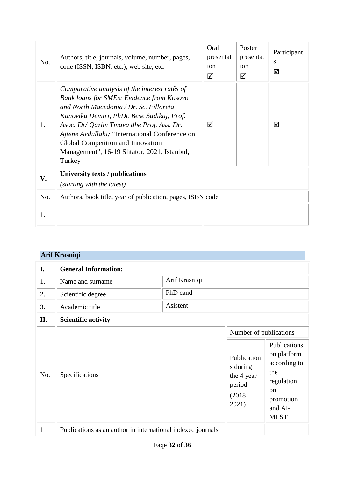| No. | Authors, title, journals, volume, number, pages,<br>code (ISSN, ISBN, etc.), web site, etc.                                                                                                                                                                                                                                                                                           | Oral<br>presentat<br>ion<br>☑ | Poster<br>presentat<br>ion<br>☑ | Participant<br>S<br>☑ |
|-----|---------------------------------------------------------------------------------------------------------------------------------------------------------------------------------------------------------------------------------------------------------------------------------------------------------------------------------------------------------------------------------------|-------------------------------|---------------------------------|-----------------------|
| 1.  | Comparative analysis of the interest rates of<br><b>Bank loans for SMEs: Evidence from Kosovo</b><br>and North Macedonia / Dr. Sc. Filloreta<br>Kunoviku Demiri, PhDc Besë Sadikaj, Prof.<br>Asoc. Dr/ Qazim Tmava dhe Prof. Ass. Dr.<br>Ajtene Avdullahi; "International Conference on<br>Global Competition and Innovation<br>Management", 16-19 Shtator, 2021, Istanbul,<br>Turkey | ☑                             |                                 | ☑                     |
| V.  | University texts / publications<br>(starting with the latest)                                                                                                                                                                                                                                                                                                                         |                               |                                 |                       |
| No. | Authors, book title, year of publication, pages, ISBN code                                                                                                                                                                                                                                                                                                                            |                               |                                 |                       |
| 1.  |                                                                                                                                                                                                                                                                                                                                                                                       |                               |                                 |                       |

# **Arif Krasniqi**

| I.           | <b>General Information:</b>                                 |               |                                                                                                 |                                                                                                                          |
|--------------|-------------------------------------------------------------|---------------|-------------------------------------------------------------------------------------------------|--------------------------------------------------------------------------------------------------------------------------|
| 1.           | Name and surname                                            | Arif Krasniqi |                                                                                                 |                                                                                                                          |
| 2.           | PhD cand<br>Scientific degree                               |               |                                                                                                 |                                                                                                                          |
| 3.           | Asistent<br>Academic title                                  |               |                                                                                                 |                                                                                                                          |
| II.          | <b>Scientific activity</b>                                  |               |                                                                                                 |                                                                                                                          |
| No.          | Specifications                                              |               | Number of publications<br>Publication<br>s during<br>the 4 year<br>period<br>$(2018 -$<br>2021) | Publications<br>on platform<br>according to<br>the<br>regulation<br><sub>on</sub><br>promotion<br>and AI-<br><b>MEST</b> |
| $\mathbf{1}$ | Publications as an author in international indexed journals |               |                                                                                                 |                                                                                                                          |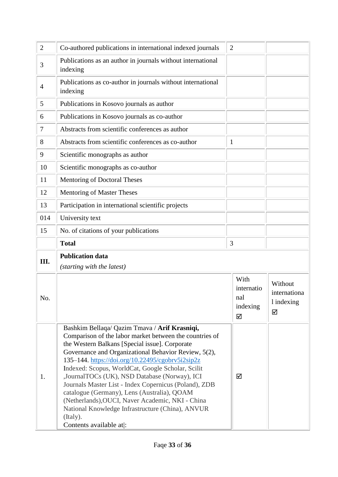| $\overline{2}$ | Co-authored publications in international indexed journals              | $\overline{2}$                     |  |                                 |
|----------------|-------------------------------------------------------------------------|------------------------------------|--|---------------------------------|
| 3              | Publications as an author in journals without international<br>indexing |                                    |  |                                 |
| $\overline{4}$ | Publications as co-author in journals without international<br>indexing |                                    |  |                                 |
| 5              | Publications in Kosovo journals as author                               |                                    |  |                                 |
| 6              | Publications in Kosovo journals as co-author                            |                                    |  |                                 |
| 7              | Abstracts from scientific conferences as author                         |                                    |  |                                 |
| 8              | Abstracts from scientific conferences as co-author                      | $\mathbf{1}$                       |  |                                 |
| 9              | Scientific monographs as author                                         |                                    |  |                                 |
| 10             | Scientific monographs as co-author                                      |                                    |  |                                 |
| 11             | Mentoring of Doctoral Theses                                            |                                    |  |                                 |
| 12             | Mentoring of Master Theses                                              |                                    |  |                                 |
| 13             | Participation in international scientific projects                      |                                    |  |                                 |
| 014            | University text                                                         |                                    |  |                                 |
| 15             | No. of citations of your publications                                   |                                    |  |                                 |
|                | <b>Total</b>                                                            | 3                                  |  |                                 |
| Ш.             | <b>Publication data</b>                                                 |                                    |  |                                 |
|                | (starting with the latest)                                              |                                    |  |                                 |
| No.            |                                                                         | With                               |  | Without                         |
|                |                                                                         | internatio<br>nal<br>indexing<br>☑ |  | internationa<br>1 indexing<br>☑ |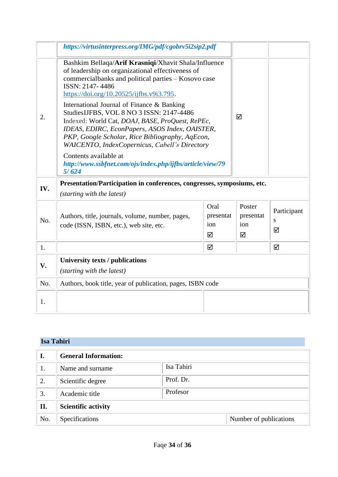|     | https://virtusinterpress.org/IMG/pdf/cgobrv5i2sip2.pdf                                                                                                                                                                                                                                           |                               |                                 |                       |
|-----|--------------------------------------------------------------------------------------------------------------------------------------------------------------------------------------------------------------------------------------------------------------------------------------------------|-------------------------------|---------------------------------|-----------------------|
|     | Bashkim Bellaqa/Arif Krasniqi/Xhavit Shala/Influence<br>of leadership on organizational effectiveness of<br>commercialbanks and political parties - Kosovo case<br>ISSN: 2147-4486<br>https://doi.org/10.20525/ijfbs.v9i3.795.                                                                   |                               |                                 |                       |
| 2.  | International Journal of Finance & Banking<br>StudiesIJFBS, VOL 8 NO 3 ISSN: 2147-4486<br>Indexed: World Cat, DOAJ, BASE, ProQuest, RePEc,<br>IDEAS, EDIRC, EconPapers, ASOS Index, OAISTER,<br>PKP, Google Scholar, Rice Bibliography, AqEcon,<br>WAICENTO, IndexCopernicus, Cabell's Directory |                               | ☑                               |                       |
|     | Contents available at<br>http://www.ssbfnet.com/ojs/index.php/ijfbs/article/view/79<br>5/624                                                                                                                                                                                                     |                               |                                 |                       |
| IV. | Presentation/Participation in conferences, congresses, symposiums, etc.<br>(starting with the latest)                                                                                                                                                                                            |                               |                                 |                       |
| No. | Authors, title, journals, volume, number, pages,<br>code (ISSN, ISBN, etc.), web site, etc.                                                                                                                                                                                                      | Oral<br>presentat<br>ion<br>☑ | Poster<br>presentat<br>ion<br>☑ | Participant<br>S<br>☑ |
| 1.  |                                                                                                                                                                                                                                                                                                  | ☑                             |                                 | ☑                     |
| V.  | University texts / publications<br>(starting with the latest)                                                                                                                                                                                                                                    |                               |                                 |                       |
| No. | Authors, book title, year of publication, pages, ISBN code                                                                                                                                                                                                                                       |                               |                                 |                       |
| 1.  |                                                                                                                                                                                                                                                                                                  |                               |                                 |                       |

## **Isa Tahiri**

| I.  | <b>General Information:</b> |            |                        |
|-----|-----------------------------|------------|------------------------|
| 1.  | Name and surname            | Isa Tahiri |                        |
| 2.  | Scientific degree           | Prof. Dr.  |                        |
| 3.  | Academic title              | Profesor   |                        |
| II. | <b>Scientific activity</b>  |            |                        |
| No. | Specifications              |            | Number of publications |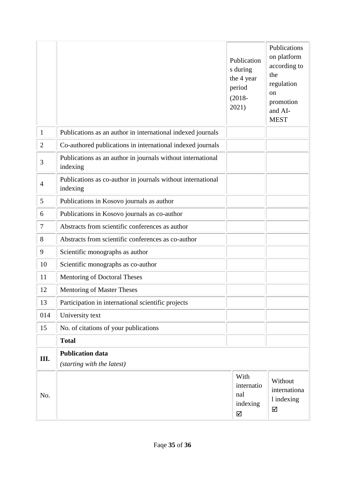|                |                                                                         | Publication<br>s during<br>the 4 year<br>period<br>$(2018 -$<br>2021) | Publications<br>on platform<br>according to<br>the<br>regulation<br><sub>on</sub><br>promotion<br>and AI-<br><b>MEST</b> |  |
|----------------|-------------------------------------------------------------------------|-----------------------------------------------------------------------|--------------------------------------------------------------------------------------------------------------------------|--|
| $\mathbf{1}$   | Publications as an author in international indexed journals             |                                                                       |                                                                                                                          |  |
| $\overline{2}$ | Co-authored publications in international indexed journals              |                                                                       |                                                                                                                          |  |
| 3              | Publications as an author in journals without international<br>indexing |                                                                       |                                                                                                                          |  |
| $\overline{4}$ | Publications as co-author in journals without international<br>indexing |                                                                       |                                                                                                                          |  |
| 5              | Publications in Kosovo journals as author                               |                                                                       |                                                                                                                          |  |
| 6              | Publications in Kosovo journals as co-author                            |                                                                       |                                                                                                                          |  |
| $\tau$         | Abstracts from scientific conferences as author                         |                                                                       |                                                                                                                          |  |
| 8              | Abstracts from scientific conferences as co-author                      |                                                                       |                                                                                                                          |  |
| 9              | Scientific monographs as author                                         |                                                                       |                                                                                                                          |  |
| 10             | Scientific monographs as co-author                                      |                                                                       |                                                                                                                          |  |
| 11             | Mentoring of Doctoral Theses                                            |                                                                       |                                                                                                                          |  |
| 12             | Mentoring of Master Theses                                              |                                                                       |                                                                                                                          |  |
| 13             | Participation in international scientific projects                      |                                                                       |                                                                                                                          |  |
| 014            | University text                                                         |                                                                       |                                                                                                                          |  |
| 15             | No. of citations of your publications                                   |                                                                       |                                                                                                                          |  |
|                | <b>Total</b>                                                            |                                                                       |                                                                                                                          |  |
| Ш.             | <b>Publication data</b>                                                 |                                                                       |                                                                                                                          |  |
|                | (starting with the latest)                                              |                                                                       |                                                                                                                          |  |
| No.            |                                                                         | With<br>internatio<br>nal<br>indexing<br>☑                            | Without<br>internationa<br>l indexing<br>☑                                                                               |  |